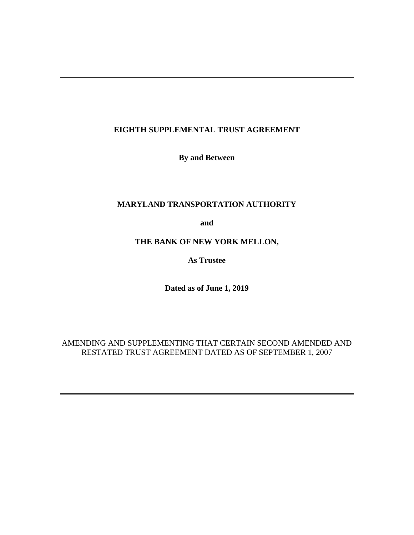# **EIGHTH SUPPLEMENTAL TRUST AGREEMENT**

**By and Between** 

# **MARYLAND TRANSPORTATION AUTHORITY**

**and** 

# **THE BANK OF NEW YORK MELLON,**

**As Trustee** 

**Dated as of June 1, 2019**

# AMENDING AND SUPPLEMENTING THAT CERTAIN SECOND AMENDED AND RESTATED TRUST AGREEMENT DATED AS OF SEPTEMBER 1, 2007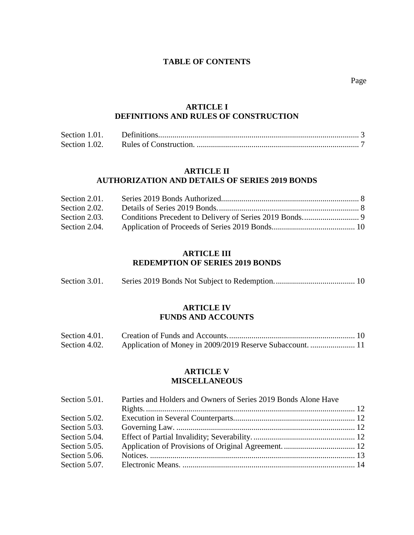# **TABLE OF CONTENTS**

Page **Page** 

# **[ARTICLE I](#page-5-0)  [DEFINITIONS AND RULES OF CONSTRUCTION](#page-5-0)**

| Section 1.01. |  |
|---------------|--|
| Section 1.02. |  |

# **[ARTICLE II](#page-10-0)  [AUTHORIZATION AND DETAILS OF SERIES 2019](#page-10-0) BONDS**

| Section 2.01. |  |
|---------------|--|
| Section 2.02. |  |
| Section 2.03. |  |
| Section 2.04. |  |

# **[ARTICLE III](#page-12-1)  [REDEMPTION OF SERIES 2019](#page-12-1) BONDS**

| Section 3.01. |  |  |
|---------------|--|--|
|---------------|--|--|

# **[ARTICLE IV](#page-12-3)  [FUNDS AND ACCOUNTS](#page-12-3)**

| Section 4.01. |  |
|---------------|--|
| Section 4.02. |  |

# **[ARTICLE V](#page-14-0)  [MISCELLANEOUS](#page-14-0)**

| Section 5.01. | Parties and Holders and Owners of Series 2019 Bonds Alone Have |  |  |
|---------------|----------------------------------------------------------------|--|--|
|               |                                                                |  |  |
| Section 5.02. |                                                                |  |  |
| Section 5.03. |                                                                |  |  |
| Section 5.04. |                                                                |  |  |
| Section 5.05. |                                                                |  |  |
| Section 5.06. |                                                                |  |  |
| Section 5.07. |                                                                |  |  |
|               |                                                                |  |  |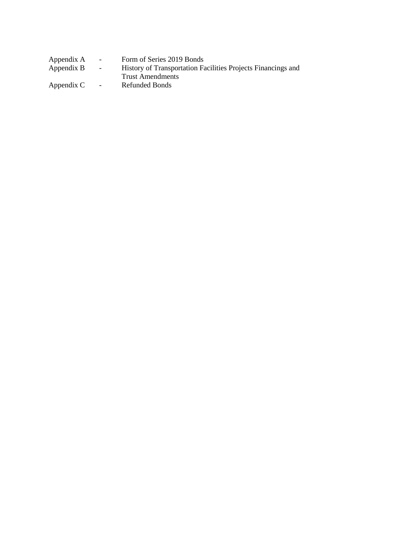| Appendix A | $\sim$ 100 $\mu$ | Form of Series 2019 Bonds                                    |
|------------|------------------|--------------------------------------------------------------|
| Appendix B | $\sim$ 100 $\mu$ | History of Transportation Facilities Projects Financings and |
|            |                  | Trust Amendments                                             |
| Appendix C | $\sim 100$       | Refunded Bonds                                               |
|            |                  |                                                              |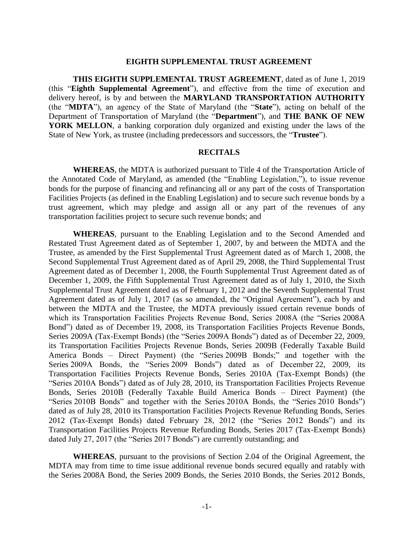#### **EIGHTH SUPPLEMENTAL TRUST AGREEMENT**

**THIS EIGHTH SUPPLEMENTAL TRUST AGREEMENT**, dated as of June 1, 2019 (this "**Eighth Supplemental Agreement**"), and effective from the time of execution and delivery hereof, is by and between the **MARYLAND TRANSPORTATION AUTHORITY** (the "**MDTA**"), an agency of the State of Maryland (the "**State**"), acting on behalf of the Department of Transportation of Maryland (the "**Department**"), and **THE BANK OF NEW YORK MELLON**, a banking corporation duly organized and existing under the laws of the State of New York, as trustee (including predecessors and successors, the "**Trustee**").

# **RECITALS**

**WHEREAS**, the MDTA is authorized pursuant to Title 4 of the Transportation Article of the Annotated Code of Maryland, as amended (the "Enabling Legislation,"), to issue revenue bonds for the purpose of financing and refinancing all or any part of the costs of Transportation Facilities Projects (as defined in the Enabling Legislation) and to secure such revenue bonds by a trust agreement, which may pledge and assign all or any part of the revenues of any transportation facilities project to secure such revenue bonds; and

**WHEREAS**, pursuant to the Enabling Legislation and to the Second Amended and Restated Trust Agreement dated as of September 1, 2007, by and between the MDTA and the Trustee, as amended by the First Supplemental Trust Agreement dated as of March 1, 2008, the Second Supplemental Trust Agreement dated as of April 29, 2008, the Third Supplemental Trust Agreement dated as of December 1, 2008, the Fourth Supplemental Trust Agreement dated as of December 1, 2009, the Fifth Supplemental Trust Agreement dated as of July 1, 2010, the Sixth Supplemental Trust Agreement dated as of February 1, 2012 and the Seventh Supplemental Trust Agreement dated as of July 1, 2017 (as so amended, the "Original Agreement"), each by and between the MDTA and the Trustee, the MDTA previously issued certain revenue bonds of which its Transportation Facilities Projects Revenue Bond, Series 2008A (the "Series 2008A Bond") dated as of December 19, 2008, its Transportation Facilities Projects Revenue Bonds, Series 2009A (Tax-Exempt Bonds) (the "Series 2009A Bonds") dated as of December 22, 2009, its Transportation Facilities Projects Revenue Bonds, Series 2009B (Federally Taxable Build America Bonds – Direct Payment) (the "Series 2009B Bonds;" and together with the Series 2009A Bonds, the "Series 2009 Bonds") dated as of December 22, 2009, its Transportation Facilities Projects Revenue Bonds, Series 2010A (Tax-Exempt Bonds) (the "Series 2010A Bonds") dated as of July 28, 2010, its Transportation Facilities Projects Revenue Bonds, Series 2010B (Federally Taxable Build America Bonds – Direct Payment) (the "Series 2010B Bonds" and together with the Series 2010A Bonds, the "Series 2010 Bonds") dated as of July 28, 2010 its Transportation Facilities Projects Revenue Refunding Bonds, Series 2012 (Tax-Exempt Bonds) dated February 28, 2012 (the "Series 2012 Bonds") and its Transportation Facilities Projects Revenue Refunding Bonds, Series 2017 (Tax-Exempt Bonds) dated July 27, 2017 (the "Series 2017 Bonds") are currently outstanding; and

**WHEREAS**, pursuant to the provisions of Section 2.04 of the Original Agreement, the MDTA may from time to time issue additional revenue bonds secured equally and ratably with the Series 2008A Bond, the Series 2009 Bonds, the Series 2010 Bonds, the Series 2012 Bonds,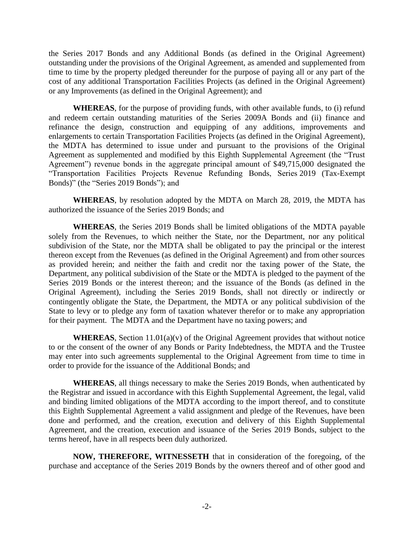the Series 2017 Bonds and any Additional Bonds (as defined in the Original Agreement) outstanding under the provisions of the Original Agreement, as amended and supplemented from time to time by the property pledged thereunder for the purpose of paying all or any part of the cost of any additional Transportation Facilities Projects (as defined in the Original Agreement) or any Improvements (as defined in the Original Agreement); and

**WHEREAS**, for the purpose of providing funds, with other available funds, to (i) refund and redeem certain outstanding maturities of the Series 2009A Bonds and (ii) finance and refinance the design, construction and equipping of any additions, improvements and enlargements to certain Transportation Facilities Projects (as defined in the Original Agreement), the MDTA has determined to issue under and pursuant to the provisions of the Original Agreement as supplemented and modified by this Eighth Supplemental Agreement (the "Trust Agreement") revenue bonds in the aggregate principal amount of \$49,715,000 designated the "Transportation Facilities Projects Revenue Refunding Bonds, Series 2019 (Tax-Exempt Bonds)" (the "Series 2019 Bonds"); and

**WHEREAS**, by resolution adopted by the MDTA on March 28, 2019, the MDTA has authorized the issuance of the Series 2019 Bonds; and

**WHEREAS**, the Series 2019 Bonds shall be limited obligations of the MDTA payable solely from the Revenues, to which neither the State, nor the Department, nor any political subdivision of the State, nor the MDTA shall be obligated to pay the principal or the interest thereon except from the Revenues (as defined in the Original Agreement) and from other sources as provided herein; and neither the faith and credit nor the taxing power of the State, the Department, any political subdivision of the State or the MDTA is pledged to the payment of the Series 2019 Bonds or the interest thereon; and the issuance of the Bonds (as defined in the Original Agreement), including the Series 2019 Bonds, shall not directly or indirectly or contingently obligate the State, the Department, the MDTA or any political subdivision of the State to levy or to pledge any form of taxation whatever therefor or to make any appropriation for their payment. The MDTA and the Department have no taxing powers; and

**WHEREAS**, Section 11.01(a)(v) of the Original Agreement provides that without notice to or the consent of the owner of any Bonds or Parity Indebtedness, the MDTA and the Trustee may enter into such agreements supplemental to the Original Agreement from time to time in order to provide for the issuance of the Additional Bonds; and

**WHEREAS**, all things necessary to make the Series 2019 Bonds, when authenticated by the Registrar and issued in accordance with this Eighth Supplemental Agreement, the legal, valid and binding limited obligations of the MDTA according to the import thereof, and to constitute this Eighth Supplemental Agreement a valid assignment and pledge of the Revenues, have been done and performed, and the creation, execution and delivery of this Eighth Supplemental Agreement, and the creation, execution and issuance of the Series 2019 Bonds, subject to the terms hereof, have in all respects been duly authorized.

**NOW, THEREFORE, WITNESSETH** that in consideration of the foregoing, of the purchase and acceptance of the Series 2019 Bonds by the owners thereof and of other good and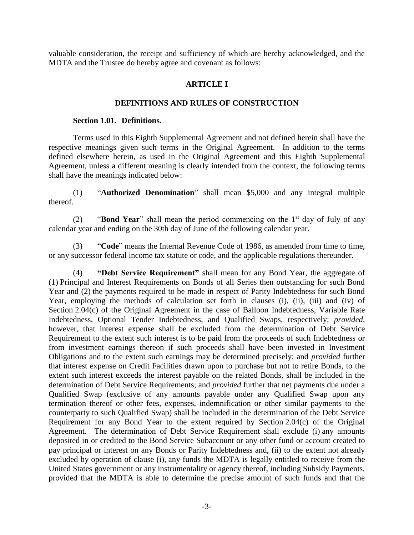<span id="page-5-0"></span>valuable consideration, the receipt and sufficiency of which are hereby acknowledged, and the MDTA and the Trustee do hereby agree and covenant as follows:

# **ARTICLE I**

# **DEFINITIONS AND RULES OF CONSTRUCTION**

# **Section 1.01. Definitions.**

<span id="page-5-1"></span>Terms used in this Eighth Supplemental Agreement and not defined herein shall have the respective meanings given such terms in the Original Agreement. In addition to the terms defined elsewhere herein, as used in the Original Agreement and this Eighth Supplemental Agreement, unless a different meaning is clearly intended from the context, the following terms shall have the meanings indicated below:

(1) "**Authorized Denomination**" shall mean \$5,000 and any integral multiple thereof.

(2) **"Bond Year**" shall mean the period commencing on the 1<sup>st</sup> day of July of any calendar year and ending on the 30th day of June of the following calendar year.

(3) "**Code**" means the Internal Revenue Code of 1986, as amended from time to time, or any successor federal income tax statute or code, and the applicable regulations thereunder.

(4) **"Debt Service Requirement"** shall mean for any Bond Year, the aggregate of (1) Principal and Interest Requirements on Bonds of all Series then outstanding for such Bond Year and (2) the payments required to be made in respect of Parity Indebtedness for such Bond Year, employing the methods of calculation set forth in clauses (i), (ii), (iii) and (iv) of Section 2.04(c) of the Original Agreement in the case of Balloon Indebtedness, Variable Rate Indebtedness, Optional Tender Indebtedness, and Qualified Swaps, respectively; *provided*, however, that interest expense shall be excluded from the determination of Debt Service Requirement to the extent such interest is to be paid from the proceeds of such Indebtedness or from investment earnings thereon if such proceeds shall have been invested in Investment Obligations and to the extent such earnings may be determined precisely; and *provided* further that interest expense on Credit Facilities drawn upon to purchase but not to retire Bonds, to the extent such interest exceeds the interest payable on the related Bonds, shall be included in the determination of Debt Service Requirements; and *provided* further that net payments due under a Qualified Swap (exclusive of any amounts payable under any Qualified Swap upon any termination thereof or other fees, expenses, indemnification or other similar payments to the counterparty to such Qualified Swap) shall be included in the determination of the Debt Service Requirement for any Bond Year to the extent required by Section 2.04(c) of the Original Agreement. The determination of Debt Service Requirement shall exclude (i) any amounts deposited in or credited to the Bond Service Subaccount or any other fund or account created to pay principal or interest on any Bonds or Parity Indebtedness and, (ii) to the extent not already excluded by operation of clause (i), any funds the MDTA is legally entitled to receive from the United States government or any instrumentality or agency thereof, including Subsidy Payments, provided that the MDTA is able to determine the precise amount of such funds and that the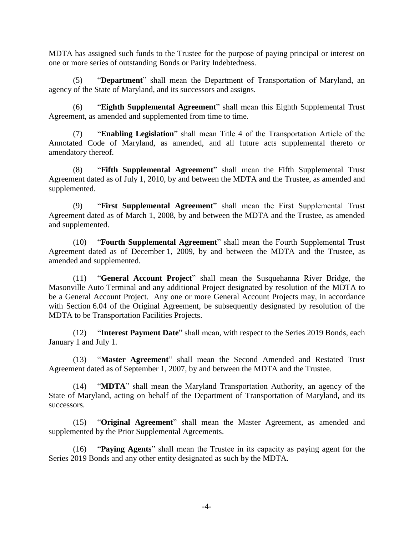MDTA has assigned such funds to the Trustee for the purpose of paying principal or interest on one or more series of outstanding Bonds or Parity Indebtedness.

(5) "**Department**" shall mean the Department of Transportation of Maryland, an agency of the State of Maryland, and its successors and assigns.

(6) "**Eighth Supplemental Agreement**" shall mean this Eighth Supplemental Trust Agreement, as amended and supplemented from time to time.

(7) "**Enabling Legislation**" shall mean Title 4 of the Transportation Article of the Annotated Code of Maryland, as amended, and all future acts supplemental thereto or amendatory thereof.

(8) "**Fifth Supplemental Agreement**" shall mean the Fifth Supplemental Trust Agreement dated as of July 1, 2010, by and between the MDTA and the Trustee, as amended and supplemented.

(9) "**First Supplemental Agreement**" shall mean the First Supplemental Trust Agreement dated as of March 1, 2008, by and between the MDTA and the Trustee, as amended and supplemented.

(10) "**Fourth Supplemental Agreement**" shall mean the Fourth Supplemental Trust Agreement dated as of December 1, 2009, by and between the MDTA and the Trustee, as amended and supplemented.

(11) "**General Account Project**" shall mean the Susquehanna River Bridge, the Masonville Auto Terminal and any additional Project designated by resolution of the MDTA to be a General Account Project. Any one or more General Account Projects may, in accordance with Section 6.04 of the Original Agreement, be subsequently designated by resolution of the MDTA to be Transportation Facilities Projects.

(12) "**Interest Payment Date**" shall mean, with respect to the Series 2019 Bonds, each January 1 and July 1.

(13) "**Master Agreement**" shall mean the Second Amended and Restated Trust Agreement dated as of September 1, 2007, by and between the MDTA and the Trustee.

(14) "**MDTA**" shall mean the Maryland Transportation Authority, an agency of the State of Maryland, acting on behalf of the Department of Transportation of Maryland, and its successors.

(15) "**Original Agreement**" shall mean the Master Agreement, as amended and supplemented by the Prior Supplemental Agreements.

(16) "**Paying Agents**" shall mean the Trustee in its capacity as paying agent for the Series 2019 Bonds and any other entity designated as such by the MDTA.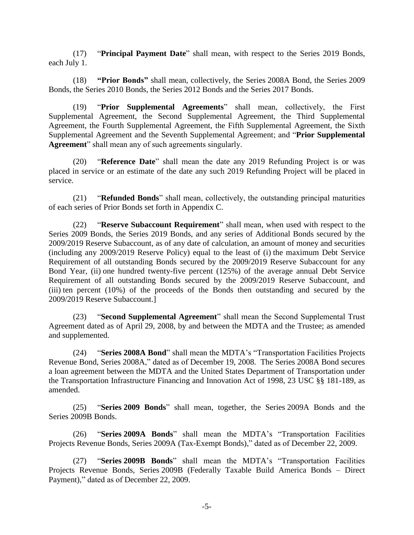(17) "**Principal Payment Date**" shall mean, with respect to the Series 2019 Bonds, each July 1.

(18) **"Prior Bonds"** shall mean, collectively, the Series 2008A Bond, the Series 2009 Bonds, the Series 2010 Bonds, the Series 2012 Bonds and the Series 2017 Bonds.

(19) "**Prior Supplemental Agreements**" shall mean, collectively, the First Supplemental Agreement, the Second Supplemental Agreement, the Third Supplemental Agreement, the Fourth Supplemental Agreement, the Fifth Supplemental Agreement, the Sixth Supplemental Agreement and the Seventh Supplemental Agreement; and "**Prior Supplemental Agreement**" shall mean any of such agreements singularly.

(20) "**Reference Date**" shall mean the date any 2019 Refunding Project is or was placed in service or an estimate of the date any such 2019 Refunding Project will be placed in service.

(21) "**Refunded Bonds**" shall mean, collectively, the outstanding principal maturities of each series of Prior Bonds set forth in Appendix C.

(22) "**Reserve Subaccount Requirement**" shall mean, when used with respect to the Series 2009 Bonds, the Series 2019 Bonds, and any series of Additional Bonds secured by the 2009/2019 Reserve Subaccount, as of any date of calculation, an amount of money and securities (including any 2009/2019 Reserve Policy) equal to the least of (i) the maximum Debt Service Requirement of all outstanding Bonds secured by the 2009/2019 Reserve Subaccount for any Bond Year, (ii) one hundred twenty-five percent (125%) of the average annual Debt Service Requirement of all outstanding Bonds secured by the 2009/2019 Reserve Subaccount, and (iii) ten percent (10%) of the proceeds of the Bonds then outstanding and secured by the 2009/2019 Reserve Subaccount.]

(23) "**Second Supplemental Agreement**" shall mean the Second Supplemental Trust Agreement dated as of April 29, 2008, by and between the MDTA and the Trustee; as amended and supplemented.

(24) "**Series 2008A Bond**" shall mean the MDTA's "Transportation Facilities Projects Revenue Bond, Series 2008A," dated as of December 19, 2008. The Series 2008A Bond secures a loan agreement between the MDTA and the United States Department of Transportation under the Transportation Infrastructure Financing and Innovation Act of 1998, 23 USC §§ 181-189, as amended.

(25) "**Series 2009 Bonds**" shall mean, together, the Series 2009A Bonds and the Series 2009B Bonds.

(26) "**Series 2009A Bonds**" shall mean the MDTA's "Transportation Facilities Projects Revenue Bonds, Series 2009A (Tax-Exempt Bonds)," dated as of December 22, 2009.

(27) "**Series 2009B Bonds**" shall mean the MDTA's "Transportation Facilities Projects Revenue Bonds, Series 2009B (Federally Taxable Build America Bonds – Direct Payment)," dated as of December 22, 2009.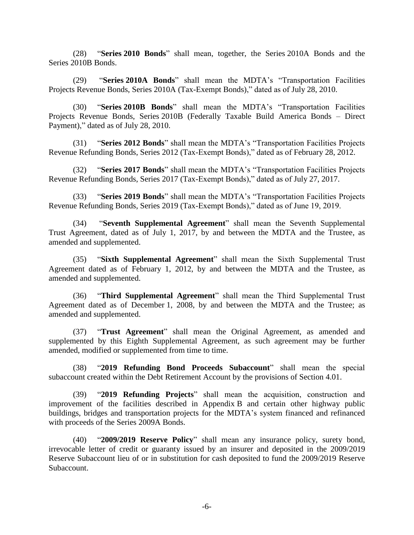(28) "**Series 2010 Bonds**" shall mean, together, the Series 2010A Bonds and the Series 2010B Bonds.

(29) "**Series 2010A Bonds**" shall mean the MDTA's "Transportation Facilities Projects Revenue Bonds, Series 2010A (Tax-Exempt Bonds)," dated as of July 28, 2010.

(30) "**Series 2010B Bonds**" shall mean the MDTA's "Transportation Facilities Projects Revenue Bonds, Series 2010B (Federally Taxable Build America Bonds – Direct Payment)," dated as of July 28, 2010.

(31) "**Series 2012 Bonds**" shall mean the MDTA's "Transportation Facilities Projects Revenue Refunding Bonds, Series 2012 (Tax-Exempt Bonds)," dated as of February 28, 2012.

(32) "**Series 2017 Bonds**" shall mean the MDTA's "Transportation Facilities Projects Revenue Refunding Bonds, Series 2017 (Tax-Exempt Bonds)," dated as of July 27, 2017.

(33) "**Series 2019 Bonds**" shall mean the MDTA's "Transportation Facilities Projects Revenue Refunding Bonds, Series 2019 (Tax-Exempt Bonds)," dated as of June 19, 2019.

(34) "**Seventh Supplemental Agreement**" shall mean the Seventh Supplemental Trust Agreement, dated as of July 1, 2017, by and between the MDTA and the Trustee, as amended and supplemented.

(35) "**Sixth Supplemental Agreement**" shall mean the Sixth Supplemental Trust Agreement dated as of February 1, 2012, by and between the MDTA and the Trustee, as amended and supplemented.

(36) "**Third Supplemental Agreement**" shall mean the Third Supplemental Trust Agreement dated as of December 1, 2008, by and between the MDTA and the Trustee; as amended and supplemented.

(37) "**Trust Agreement**" shall mean the Original Agreement, as amended and supplemented by this Eighth Supplemental Agreement, as such agreement may be further amended, modified or supplemented from time to time.

(38) "**2019 Refunding Bond Proceeds Subaccount**" shall mean the special subaccount created within the Debt Retirement Account by the provisions of Section 4.01.

(39) "**2019 Refunding Projects**" shall mean the acquisition, construction and improvement of the facilities described in Appendix B and certain other highway public buildings, bridges and transportation projects for the MDTA's system financed and refinanced with proceeds of the Series 2009A Bonds.

(40) "**2009/2019 Reserve Policy**" shall mean any insurance policy, surety bond, irrevocable letter of credit or guaranty issued by an insurer and deposited in the 2009/2019 Reserve Subaccount lieu of or in substitution for cash deposited to fund the 2009/2019 Reserve Subaccount.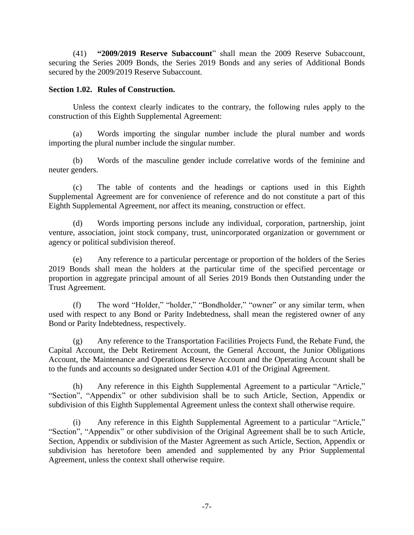(41) **"2009/2019 Reserve Subaccount**" shall mean the 2009 Reserve Subaccount, securing the Series 2009 Bonds, the Series 2019 Bonds and any series of Additional Bonds secured by the 2009/2019 Reserve Subaccount.

# <span id="page-9-0"></span>**Section 1.02. Rules of Construction.**

Unless the context clearly indicates to the contrary, the following rules apply to the construction of this Eighth Supplemental Agreement:

(a) Words importing the singular number include the plural number and words importing the plural number include the singular number.

(b) Words of the masculine gender include correlative words of the feminine and neuter genders.

(c) The table of contents and the headings or captions used in this Eighth Supplemental Agreement are for convenience of reference and do not constitute a part of this Eighth Supplemental Agreement, nor affect its meaning, construction or effect.

(d) Words importing persons include any individual, corporation, partnership, joint venture, association, joint stock company, trust, unincorporated organization or government or agency or political subdivision thereof.

(e) Any reference to a particular percentage or proportion of the holders of the Series 2019 Bonds shall mean the holders at the particular time of the specified percentage or proportion in aggregate principal amount of all Series 2019 Bonds then Outstanding under the Trust Agreement.

(f) The word "Holder," "holder," "Bondholder," "owner" or any similar term, when used with respect to any Bond or Parity Indebtedness, shall mean the registered owner of any Bond or Parity Indebtedness, respectively.

(g) Any reference to the Transportation Facilities Projects Fund, the Rebate Fund, the Capital Account, the Debt Retirement Account, the General Account, the Junior Obligations Account, the Maintenance and Operations Reserve Account and the Operating Account shall be to the funds and accounts so designated under Section 4.01 of the Original Agreement.

(h) Any reference in this Eighth Supplemental Agreement to a particular "Article," "Section", "Appendix" or other subdivision shall be to such Article, Section, Appendix or subdivision of this Eighth Supplemental Agreement unless the context shall otherwise require.

Any reference in this Eighth Supplemental Agreement to a particular "Article," "Section", "Appendix" or other subdivision of the Original Agreement shall be to such Article, Section, Appendix or subdivision of the Master Agreement as such Article, Section, Appendix or subdivision has heretofore been amended and supplemented by any Prior Supplemental Agreement, unless the context shall otherwise require.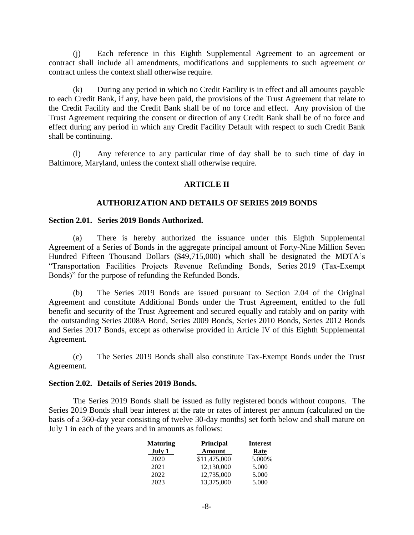(j) Each reference in this Eighth Supplemental Agreement to an agreement or contract shall include all amendments, modifications and supplements to such agreement or contract unless the context shall otherwise require.

(k) During any period in which no Credit Facility is in effect and all amounts payable to each Credit Bank, if any, have been paid, the provisions of the Trust Agreement that relate to the Credit Facility and the Credit Bank shall be of no force and effect. Any provision of the Trust Agreement requiring the consent or direction of any Credit Bank shall be of no force and effect during any period in which any Credit Facility Default with respect to such Credit Bank shall be continuing.

<span id="page-10-0"></span>(l) Any reference to any particular time of day shall be to such time of day in Baltimore, Maryland, unless the context shall otherwise require.

# **ARTICLE II**

#### **AUTHORIZATION AND DETAILS OF SERIES 2019 BONDS**

# <span id="page-10-1"></span>**Section 2.01. Series 2019 Bonds Authorized.**

(a) There is hereby authorized the issuance under this Eighth Supplemental Agreement of a Series of Bonds in the aggregate principal amount of Forty-Nine Million Seven Hundred Fifteen Thousand Dollars (\$49,715,000) which shall be designated the MDTA's "Transportation Facilities Projects Revenue Refunding Bonds, Series 2019 (Tax-Exempt Bonds)" for the purpose of refunding the Refunded Bonds.

(b) The Series 2019 Bonds are issued pursuant to Section 2.04 of the Original Agreement and constitute Additional Bonds under the Trust Agreement, entitled to the full benefit and security of the Trust Agreement and secured equally and ratably and on parity with the outstanding Series 2008A Bond, Series 2009 Bonds, Series 2010 Bonds, Series 2012 Bonds and Series 2017 Bonds, except as otherwise provided in Article IV of this Eighth Supplemental Agreement.

(c) The Series 2019 Bonds shall also constitute Tax-Exempt Bonds under the Trust Agreement.

### <span id="page-10-2"></span>**Section 2.02. Details of Series 2019 Bonds.**

The Series 2019 Bonds shall be issued as fully registered bonds without coupons. The Series 2019 Bonds shall bear interest at the rate or rates of interest per annum (calculated on the basis of a 360-day year consisting of twelve 30-day months) set forth below and shall mature on July 1 in each of the years and in amounts as follows:

| <b>Maturing</b> | <b>Principal</b> | <b>Interest</b> |
|-----------------|------------------|-----------------|
| July 1          | <b>Amount</b>    | Rate            |
| 2020            | \$11,475,000     | 5.000%          |
| 2021            | 12,130,000       | 5.000           |
| 2022            | 12,735,000       | 5.000           |
| 2023            | 13,375,000       | 5.000           |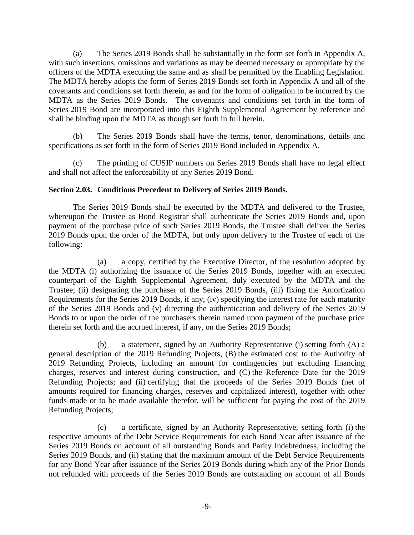(a) The Series 2019 Bonds shall be substantially in the form set forth in Appendix A, with such insertions, omissions and variations as may be deemed necessary or appropriate by the officers of the MDTA executing the same and as shall be permitted by the Enabling Legislation. The MDTA hereby adopts the form of Series 2019 Bonds set forth in Appendix A and all of the covenants and conditions set forth therein, as and for the form of obligation to be incurred by the MDTA as the Series 2019 Bonds. The covenants and conditions set forth in the form of Series 2019 Bond are incorporated into this Eighth Supplemental Agreement by reference and shall be binding upon the MDTA as though set forth in full herein.

(b) The Series 2019 Bonds shall have the terms, tenor, denominations, details and specifications as set forth in the form of Series 2019 Bond included in Appendix A.

(c) The printing of CUSIP numbers on Series 2019 Bonds shall have no legal effect and shall not affect the enforceability of any Series 2019 Bond.

# <span id="page-11-0"></span>**Section 2.03. Conditions Precedent to Delivery of Series 2019 Bonds.**

The Series 2019 Bonds shall be executed by the MDTA and delivered to the Trustee, whereupon the Trustee as Bond Registrar shall authenticate the Series 2019 Bonds and, upon payment of the purchase price of such Series 2019 Bonds, the Trustee shall deliver the Series 2019 Bonds upon the order of the MDTA, but only upon delivery to the Trustee of each of the following:

(a) a copy, certified by the Executive Director, of the resolution adopted by the MDTA (i) authorizing the issuance of the Series 2019 Bonds, together with an executed counterpart of the Eighth Supplemental Agreement, duly executed by the MDTA and the Trustee; (ii) designating the purchaser of the Series 2019 Bonds, (iii) fixing the Amortization Requirements for the Series 2019 Bonds, if any, (iv) specifying the interest rate for each maturity of the Series 2019 Bonds and (v) directing the authentication and delivery of the Series 2019 Bonds to or upon the order of the purchasers therein named upon payment of the purchase price therein set forth and the accrued interest, if any, on the Series 2019 Bonds;

(b) a statement, signed by an Authority Representative (i) setting forth (A) a general description of the 2019 Refunding Projects, (B) the estimated cost to the Authority of 2019 Refunding Projects, including an amount for contingencies but excluding financing charges, reserves and interest during construction, and (C) the Reference Date for the 2019 Refunding Projects; and (ii) certifying that the proceeds of the Series 2019 Bonds (net of amounts required for financing charges, reserves and capitalized interest), together with other funds made or to be made available therefor, will be sufficient for paying the cost of the 2019 Refunding Projects;

(c) a certificate, signed by an Authority Representative, setting forth (i) the respective amounts of the Debt Service Requirements for each Bond Year after issuance of the Series 2019 Bonds on account of all outstanding Bonds and Parity Indebtedness, including the Series 2019 Bonds, and (ii) stating that the maximum amount of the Debt Service Requirements for any Bond Year after issuance of the Series 2019 Bonds during which any of the Prior Bonds not refunded with proceeds of the Series 2019 Bonds are outstanding on account of all Bonds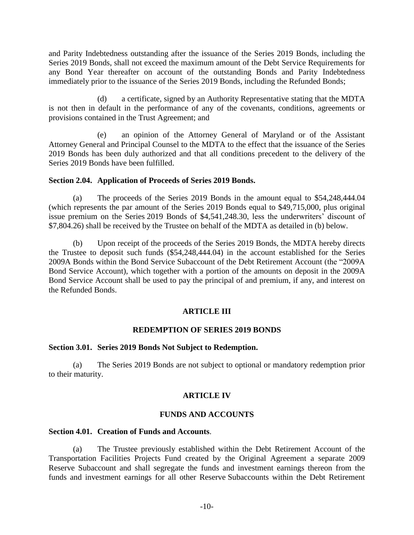and Parity Indebtedness outstanding after the issuance of the Series 2019 Bonds, including the Series 2019 Bonds, shall not exceed the maximum amount of the Debt Service Requirements for any Bond Year thereafter on account of the outstanding Bonds and Parity Indebtedness immediately prior to the issuance of the Series 2019 Bonds, including the Refunded Bonds;

(d) a certificate, signed by an Authority Representative stating that the MDTA is not then in default in the performance of any of the covenants, conditions, agreements or provisions contained in the Trust Agreement; and

(e) an opinion of the Attorney General of Maryland or of the Assistant Attorney General and Principal Counsel to the MDTA to the effect that the issuance of the Series 2019 Bonds has been duly authorized and that all conditions precedent to the delivery of the Series 2019 Bonds have been fulfilled.

# <span id="page-12-0"></span>**Section 2.04. Application of Proceeds of Series 2019 Bonds.**

(a) The proceeds of the Series 2019 Bonds in the amount equal to \$54,248,444.04 (which represents the par amount of the Series 2019 Bonds equal to \$49,715,000, plus original issue premium on the Series 2019 Bonds of \$4,541,248.30, less the underwriters' discount of \$7,804.26) shall be received by the Trustee on behalf of the MDTA as detailed in (b) below.

(b) Upon receipt of the proceeds of the Series 2019 Bonds, the MDTA hereby directs the Trustee to deposit such funds (\$54,248,444.04) in the account established for the Series 2009A Bonds within the Bond Service Subaccount of the Debt Retirement Account (the "2009A Bond Service Account), which together with a portion of the amounts on deposit in the 2009A Bond Service Account shall be used to pay the principal of and premium, if any, and interest on the Refunded Bonds.

# **ARTICLE III**

# **REDEMPTION OF SERIES 2019 BONDS**

#### <span id="page-12-2"></span><span id="page-12-1"></span>**Section 3.01. Series 2019 Bonds Not Subject to Redemption.**

<span id="page-12-3"></span>(a) The Series 2019 Bonds are not subject to optional or mandatory redemption prior to their maturity.

# **ARTICLE IV**

# **FUNDS AND ACCOUNTS**

# <span id="page-12-4"></span>**Section 4.01. Creation of Funds and Accounts**.

(a) The Trustee previously established within the Debt Retirement Account of the Transportation Facilities Projects Fund created by the Original Agreement a separate 2009 Reserve Subaccount and shall segregate the funds and investment earnings thereon from the funds and investment earnings for all other Reserve Subaccounts within the Debt Retirement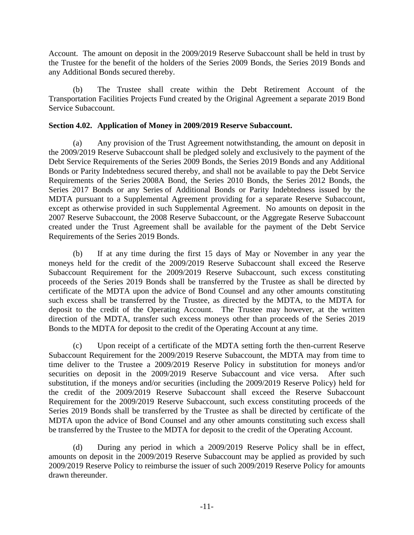Account. The amount on deposit in the 2009/2019 Reserve Subaccount shall be held in trust by the Trustee for the benefit of the holders of the Series 2009 Bonds, the Series 2019 Bonds and any Additional Bonds secured thereby.

(b) The Trustee shall create within the Debt Retirement Account of the Transportation Facilities Projects Fund created by the Original Agreement a separate 2019 Bond Service Subaccount.

# <span id="page-13-0"></span>**Section 4.02. Application of Money in 2009/2019 Reserve Subaccount.**

(a) Any provision of the Trust Agreement notwithstanding, the amount on deposit in the 2009/2019 Reserve Subaccount shall be pledged solely and exclusively to the payment of the Debt Service Requirements of the Series 2009 Bonds, the Series 2019 Bonds and any Additional Bonds or Parity Indebtedness secured thereby, and shall not be available to pay the Debt Service Requirements of the Series 2008A Bond, the Series 2010 Bonds, the Series 2012 Bonds, the Series 2017 Bonds or any Series of Additional Bonds or Parity Indebtedness issued by the MDTA pursuant to a Supplemental Agreement providing for a separate Reserve Subaccount, except as otherwise provided in such Supplemental Agreement. No amounts on deposit in the 2007 Reserve Subaccount, the 2008 Reserve Subaccount, or the Aggregate Reserve Subaccount created under the Trust Agreement shall be available for the payment of the Debt Service Requirements of the Series 2019 Bonds.

(b) If at any time during the first 15 days of May or November in any year the moneys held for the credit of the 2009/2019 Reserve Subaccount shall exceed the Reserve Subaccount Requirement for the 2009/2019 Reserve Subaccount, such excess constituting proceeds of the Series 2019 Bonds shall be transferred by the Trustee as shall be directed by certificate of the MDTA upon the advice of Bond Counsel and any other amounts constituting such excess shall be transferred by the Trustee, as directed by the MDTA, to the MDTA for deposit to the credit of the Operating Account. The Trustee may however, at the written direction of the MDTA, transfer such excess moneys other than proceeds of the Series 2019 Bonds to the MDTA for deposit to the credit of the Operating Account at any time.

(c) Upon receipt of a certificate of the MDTA setting forth the then-current Reserve Subaccount Requirement for the 2009/2019 Reserve Subaccount, the MDTA may from time to time deliver to the Trustee a 2009/2019 Reserve Policy in substitution for moneys and/or securities on deposit in the 2009/2019 Reserve Subaccount and vice versa. After such substitution, if the moneys and/or securities (including the 2009/2019 Reserve Policy) held for the credit of the 2009/2019 Reserve Subaccount shall exceed the Reserve Subaccount Requirement for the 2009/2019 Reserve Subaccount, such excess constituting proceeds of the Series 2019 Bonds shall be transferred by the Trustee as shall be directed by certificate of the MDTA upon the advice of Bond Counsel and any other amounts constituting such excess shall be transferred by the Trustee to the MDTA for deposit to the credit of the Operating Account.

(d) During any period in which a 2009/2019 Reserve Policy shall be in effect, amounts on deposit in the 2009/2019 Reserve Subaccount may be applied as provided by such 2009/2019 Reserve Policy to reimburse the issuer of such 2009/2019 Reserve Policy for amounts drawn thereunder.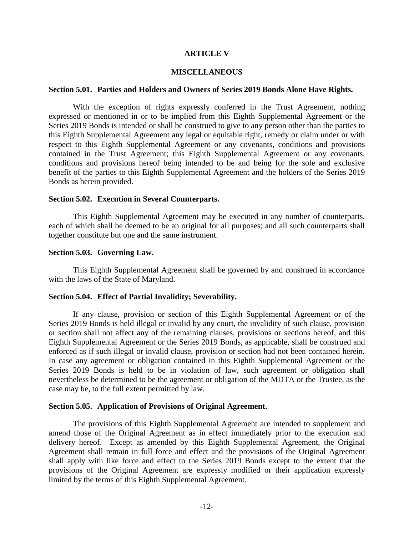# **ARTICLE V**

### **MISCELLANEOUS**

#### <span id="page-14-1"></span><span id="page-14-0"></span>**Section 5.01. Parties and Holders and Owners of Series 2019 Bonds Alone Have Rights.**

With the exception of rights expressly conferred in the Trust Agreement, nothing expressed or mentioned in or to be implied from this Eighth Supplemental Agreement or the Series 2019 Bonds is intended or shall be construed to give to any person other than the parties to this Eighth Supplemental Agreement any legal or equitable right, remedy or claim under or with respect to this Eighth Supplemental Agreement or any covenants, conditions and provisions contained in the Trust Agreement; this Eighth Supplemental Agreement or any covenants, conditions and provisions hereof being intended to be and being for the sole and exclusive benefit of the parties to this Eighth Supplemental Agreement and the holders of the Series 2019 Bonds as herein provided.

#### <span id="page-14-2"></span>**Section 5.02. Execution in Several Counterparts.**

This Eighth Supplemental Agreement may be executed in any number of counterparts, each of which shall be deemed to be an original for all purposes; and all such counterparts shall together constitute but one and the same instrument.

#### <span id="page-14-3"></span>**Section 5.03. Governing Law.**

This Eighth Supplemental Agreement shall be governed by and construed in accordance with the laws of the State of Maryland.

#### <span id="page-14-4"></span>**Section 5.04. Effect of Partial Invalidity; Severability.**

If any clause, provision or section of this Eighth Supplemental Agreement or of the Series 2019 Bonds is held illegal or invalid by any court, the invalidity of such clause, provision or section shall not affect any of the remaining clauses, provisions or sections hereof, and this Eighth Supplemental Agreement or the Series 2019 Bonds, as applicable, shall be construed and enforced as if such illegal or invalid clause, provision or section had not been contained herein. In case any agreement or obligation contained in this Eighth Supplemental Agreement or the Series 2019 Bonds is held to be in violation of law, such agreement or obligation shall nevertheless be determined to be the agreement or obligation of the MDTA or the Trustee, as the case may be, to the full extent permitted by law.

#### <span id="page-14-5"></span>**Section 5.05. Application of Provisions of Original Agreement.**

The provisions of this Eighth Supplemental Agreement are intended to supplement and amend those of the Original Agreement as in effect immediately prior to the execution and delivery hereof. Except as amended by this Eighth Supplemental Agreement, the Original Agreement shall remain in full force and effect and the provisions of the Original Agreement shall apply with like force and effect to the Series 2019 Bonds except to the extent that the provisions of the Original Agreement are expressly modified or their application expressly limited by the terms of this Eighth Supplemental Agreement.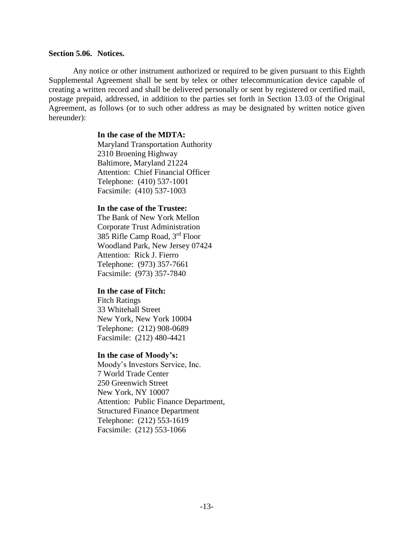## <span id="page-15-0"></span>**Section 5.06. Notices.**

Any notice or other instrument authorized or required to be given pursuant to this Eighth Supplemental Agreement shall be sent by telex or other telecommunication device capable of creating a written record and shall be delivered personally or sent by registered or certified mail, postage prepaid, addressed, in addition to the parties set forth in Section 13.03 of the Original Agreement, as follows (or to such other address as may be designated by written notice given hereunder):

# **In the case of the MDTA:**

Maryland Transportation Authority 2310 Broening Highway Baltimore, Maryland 21224 Attention: Chief Financial Officer Telephone: (410) 537-1001 Facsimile: (410) 537-1003

### **In the case of the Trustee:**

The Bank of New York Mellon Corporate Trust Administration 385 Rifle Camp Road, 3rd Floor Woodland Park, New Jersey 07424 Attention: Rick J. Fierro Telephone: (973) 357-7661 Facsimile: (973) 357-7840

#### **In the case of Fitch:**

Fitch Ratings 33 Whitehall Street New York, New York 10004 Telephone: (212) 908-0689 Facsimile: (212) 480-4421

#### **In the case of Moody's:**

Moody's Investors Service, Inc. 7 World Trade Center 250 Greenwich Street New York, NY 10007 Attention: Public Finance Department, Structured Finance Department Telephone: (212) 553-1619 Facsimile: (212) 553-1066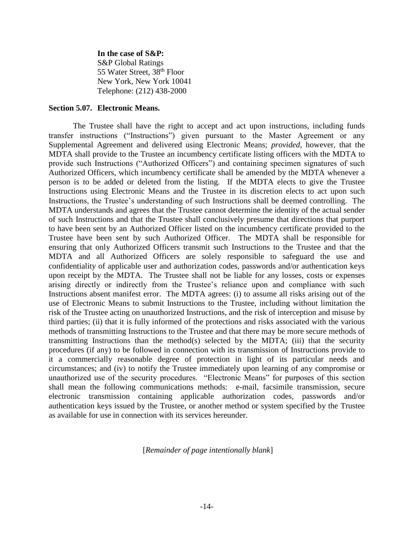#### **In the case of S&P:**

S&P Global Ratings 55 Water Street, 38th Floor New York, New York 10041 Telephone: (212) 438-2000

#### <span id="page-16-0"></span>**Section 5.07. Electronic Means.**

The Trustee shall have the right to accept and act upon instructions, including funds transfer instructions ("Instructions") given pursuant to the Master Agreement or any Supplemental Agreement and delivered using Electronic Means; *provided,* however, that the MDTA shall provide to the Trustee an incumbency certificate listing officers with the MDTA to provide such Instructions ("Authorized Officers") and containing specimen signatures of such Authorized Officers, which incumbency certificate shall be amended by the MDTA whenever a person is to be added or deleted from the listing. If the MDTA elects to give the Trustee Instructions using Electronic Means and the Trustee in its discretion elects to act upon such Instructions, the Trustee's understanding of such Instructions shall be deemed controlling. The MDTA understands and agrees that the Trustee cannot determine the identity of the actual sender of such Instructions and that the Trustee shall conclusively presume that directions that purport to have been sent by an Authorized Officer listed on the incumbency certificate provided to the Trustee have been sent by such Authorized Officer. The MDTA shall be responsible for ensuring that only Authorized Officers transmit such Instructions to the Trustee and that the MDTA and all Authorized Officers are solely responsible to safeguard the use and confidentiality of applicable user and authorization codes, passwords and/or authentication keys upon receipt by the MDTA. The Trustee shall not be liable for any losses, costs or expenses arising directly or indirectly from the Trustee's reliance upon and compliance with such Instructions absent manifest error. The MDTA agrees: (i) to assume all risks arising out of the use of Electronic Means to submit Instructions to the Trustee, including without limitation the risk of the Trustee acting on unauthorized Instructions, and the risk of interception and misuse by third parties; (ii) that it is fully informed of the protections and risks associated with the various methods of transmitting Instructions to the Trustee and that there may be more secure methods of transmitting Instructions than the method(s) selected by the MDTA; (iii) that the security procedures (if any) to be followed in connection with its transmission of Instructions provide to it a commercially reasonable degree of protection in light of its particular needs and circumstances; and (iv) to notify the Trustee immediately upon learning of any compromise or unauthorized use of the security procedures. "Electronic Means" for purposes of this section shall mean the following communications methods: e-mail, facsimile transmission, secure electronic transmission containing applicable authorization codes, passwords and/or authentication keys issued by the Trustee, or another method or system specified by the Trustee as available for use in connection with its services hereunder.

[*Remainder of page intentionally blank*]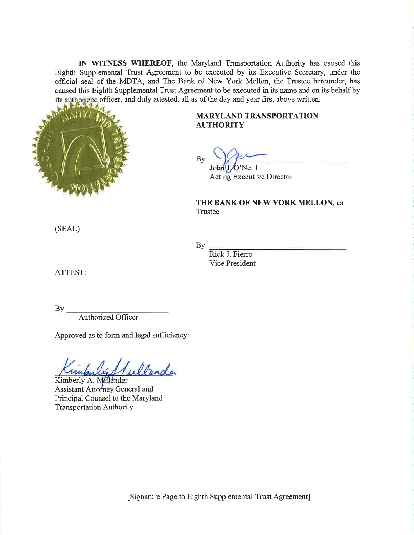IN WITNESS WHEREOF, the Maryland Transportation Authority has caused this Eighth Supplemental Trust Agreement to be executed by its Executive Secretary, under the official seal of the MDTA, and The Bank of New York Mellon, the Trustee hereunder, has caused this Eighth Supplemental Trust Agreement to be executed in its name and on its behalf by its authorized officer, and duly attested, all as of the day and year first above written.



# **MARYLAND TRANSPORTATION AUTHORITY**

Bv:

John J O'Neill **Acting Executive Director** 

# THE BANK OF NEW YORK MELLON, as Trustee

(SEAL)

By:

Rick J. Fierro Vice President

ATTEST:

 $By:$ 

**Authorized Officer** 

Approved as to form and legal sufficiency:

Wender

Kimberly A. Milender Assistant Attorney General and Principal Counsel to the Maryland **Transportation Authority** 

[Signature Page to Eighth Supplemental Trust Agreement]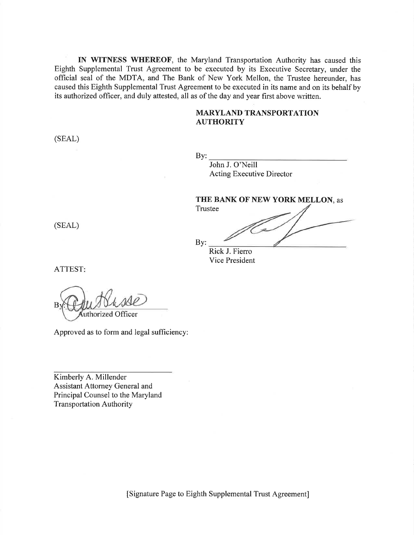IN WITNESS WHEREOF, the Maryland Transportation Authority has caused this Eighth Supplemental Trust Agreement to be executed by its Executive Secretary, under the official seal of the MDTA, and The Bank of New York Mellon, the Trustee hereunder, has caused this Eighth Supplemental Trust Agreement to be executed in its name and on its behalf by its authorized officer, and duly attested, all as of the day and year first above written.

# **MARYLAND TRANSPORTATION AUTHORITY**

(SEAL)

By: John J. O'Neill Acting Executive Director

THE BANK OF NEW YORK MELLON, as Trustee

(SEAL)

By: Rick J. Fierro Vice President

ATTEST:

uthorized Officer

Approved as to form and legal sufficiency:

Kimberly A. Millender Assistant Attorney General and Principal Counsel to the Maryland **Transportation Authority** 

[Signature Page to Eighth Supplemental Trust Agreement]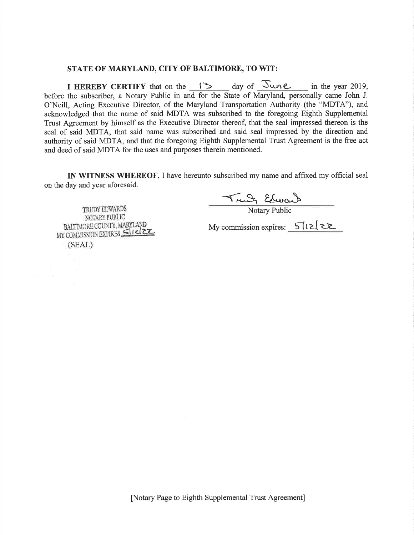#### STATE OF MARYLAND, CITY OF BALTIMORE, TO WIT:

I HEREBY CERTIFY that on the 13 day of June in the year 2019, before the subscriber, a Notary Public in and for the State of Maryland, personally came John J. O'Neill, Acting Executive Director, of the Maryland Transportation Authority (the "MDTA"), and acknowledged that the name of said MDTA was subscribed to the foregoing Eighth Supplemental Trust Agreement by himself as the Executive Director thereof, that the seal impressed thereon is the seal of said MDTA, that said name was subscribed and said seal impressed by the direction and authority of said MDTA, and that the foregoing Eighth Supplemental Trust Agreement is the free act and deed of said MDTA for the uses and purposes therein mentioned.

IN WITNESS WHEREOF, I have hereunto subscribed my name and affixed my official seal on the day and year aforesaid.

Trudy Edward

TRUDY EDWARDS NOTARY PUBLIC BALTIMORE COUNTY, MARYLAND MY COMMISSION EXPIRES SINCE  $(SEAL)$ 

My commission expires: 5/12/22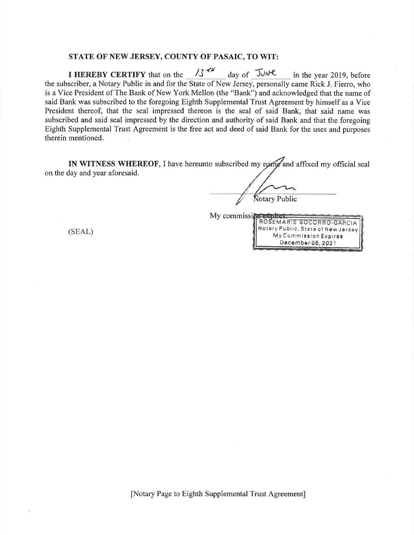#### STATE OF NEW JERSEY, COUNTY OF PASAIC, TO WIT:

 $1344$ day of JUNE I HEREBY CERTIFY that on the in the year 2019, before the subscriber, a Notary Public in and for the State of New Jersey, personally came Rick J. Fierro, who is a Vice President of The Bank of New York Mellon (the "Bank") and acknowledged that the name of said Bank was subscribed to the foregoing Eighth Supplemental Trust Agreement by himself as a Vice President thereof, that the seal impressed thereon is the seal of said Bank, that said name was subscribed and said seal impressed by the direction and authority of said Bank and that the foregoing Eighth Supplemental Trust Agreement is the free act and deed of said Bank for the uses and purposes therein mentioned.

IN WITNESS WHEREOF, I have hereunto subscribed my name and affixed my official seal on the day and year aforesaid.

My commission

Notary Public

ROSEMARTE SOCORRO-GARCIA Notary Public, State of New Jersey

> My Commission Expires December 06, 2021

 $(SEAL)$ 

[Notary Page to Eighth Supplemental Trust Agreement]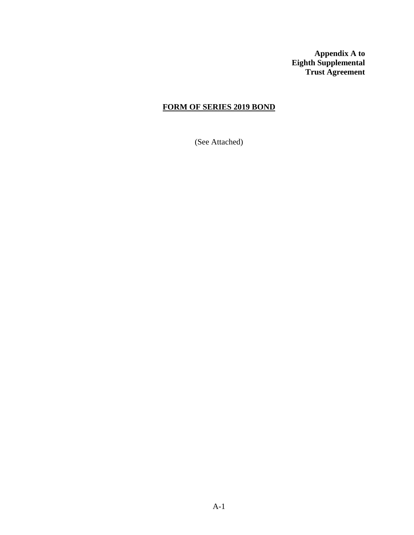**Appendix A to Eighth Supplemental Trust Agreement**

# **FORM OF SERIES 2019 BOND**

(See Attached)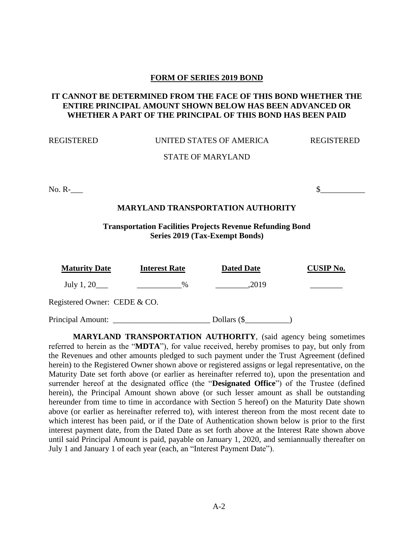# **FORM OF SERIES 2019 BOND**

# **IT CANNOT BE DETERMINED FROM THE FACE OF THIS BOND WHETHER THE ENTIRE PRINCIPAL AMOUNT SHOWN BELOW HAS BEEN ADVANCED OR WHETHER A PART OF THE PRINCIPAL OF THIS BOND HAS BEEN PAID**

#### REGISTERED UNITED STATES OF AMERICA REGISTERED

# STATE OF MARYLAND

No. R- $\sim$ 

# **MARYLAND TRANSPORTATION AUTHORITY**

**Transportation Facilities Projects Revenue Refunding Bond Series 2019 (Tax-Exempt Bonds)**

| <b>Maturity Date</b>         | <b>Interest Rate</b> | <b>Dated Date</b> | <b>CUSIP No.</b> |
|------------------------------|----------------------|-------------------|------------------|
| July 1, $20$                 | $\%$                 | ,2019             |                  |
| Registered Owner: CEDE & CO. |                      |                   |                  |
| Principal Amount:            |                      | Dollars $(\$      |                  |

**MARYLAND TRANSPORTATION AUTHORITY**, (said agency being sometimes referred to herein as the "**MDTA**"), for value received, hereby promises to pay, but only from the Revenues and other amounts pledged to such payment under the Trust Agreement (defined herein) to the Registered Owner shown above or registered assigns or legal representative, on the Maturity Date set forth above (or earlier as hereinafter referred to), upon the presentation and surrender hereof at the designated office (the "**Designated Office**") of the Trustee (defined herein), the Principal Amount shown above (or such lesser amount as shall be outstanding hereunder from time to time in accordance with Section 5 hereof) on the Maturity Date shown above (or earlier as hereinafter referred to), with interest thereon from the most recent date to which interest has been paid, or if the Date of Authentication shown below is prior to the first interest payment date, from the Dated Date as set forth above at the Interest Rate shown above until said Principal Amount is paid, payable on January 1, 2020, and semiannually thereafter on July 1 and January 1 of each year (each, an "Interest Payment Date").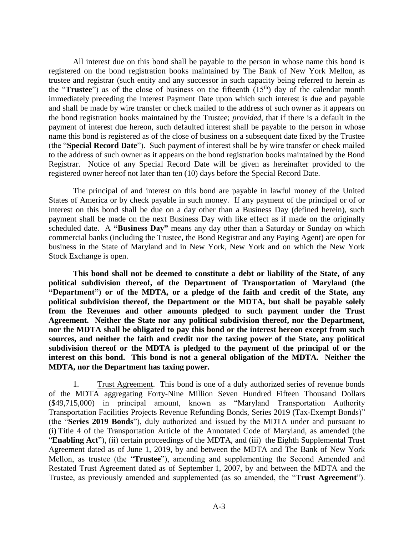All interest due on this bond shall be payable to the person in whose name this bond is registered on the bond registration books maintained by The Bank of New York Mellon, as trustee and registrar (such entity and any successor in such capacity being referred to herein as the "**Trustee**") as of the close of business on the fifteenth (15<sup>th</sup>) day of the calendar month immediately preceding the Interest Payment Date upon which such interest is due and payable and shall be made by wire transfer or check mailed to the address of such owner as it appears on the bond registration books maintained by the Trustee; *provided*, that if there is a default in the payment of interest due hereon, such defaulted interest shall be payable to the person in whose name this bond is registered as of the close of business on a subsequent date fixed by the Trustee (the "**Special Record Date**"). Such payment of interest shall be by wire transfer or check mailed to the address of such owner as it appears on the bond registration books maintained by the Bond Registrar. Notice of any Special Record Date will be given as hereinafter provided to the registered owner hereof not later than ten (10) days before the Special Record Date.

The principal of and interest on this bond are payable in lawful money of the United States of America or by check payable in such money. If any payment of the principal or of or interest on this bond shall be due on a day other than a Business Day (defined herein), such payment shall be made on the next Business Day with like effect as if made on the originally scheduled date. A **"Business Day"** means any day other than a Saturday or Sunday on which commercial banks (including the Trustee, the Bond Registrar and any Paying Agent) are open for business in the State of Maryland and in New York, New York and on which the New York Stock Exchange is open.

**This bond shall not be deemed to constitute a debt or liability of the State, of any political subdivision thereof, of the Department of Transportation of Maryland (the "Department") or of the MDTA, or a pledge of the faith and credit of the State, any political subdivision thereof, the Department or the MDTA, but shall be payable solely from the Revenues and other amounts pledged to such payment under the Trust Agreement. Neither the State nor any political subdivision thereof, nor the Department, nor the MDTA shall be obligated to pay this bond or the interest hereon except from such sources, and neither the faith and credit nor the taxing power of the State, any political subdivision thereof or the MDTA is pledged to the payment of the principal of or the interest on this bond. This bond is not a general obligation of the MDTA. Neither the MDTA, nor the Department has taxing power.** 

1. Trust Agreement. This bond is one of a duly authorized series of revenue bonds of the MDTA aggregating Forty-Nine Million Seven Hundred Fifteen Thousand Dollars (\$49,715,000) in principal amount, known as "Maryland Transportation Authority Transportation Facilities Projects Revenue Refunding Bonds, Series 2019 (Tax-Exempt Bonds)" (the "**Series 2019 Bonds**"), duly authorized and issued by the MDTA under and pursuant to (i) Title 4 of the Transportation Article of the Annotated Code of Maryland, as amended (the "**Enabling Act**"), (ii) certain proceedings of the MDTA, and (iii) the Eighth Supplemental Trust Agreement dated as of June 1, 2019, by and between the MDTA and The Bank of New York Mellon, as trustee (the "**Trustee**"), amending and supplementing the Second Amended and Restated Trust Agreement dated as of September 1, 2007, by and between the MDTA and the Trustee, as previously amended and supplemented (as so amended, the "**Trust Agreement**").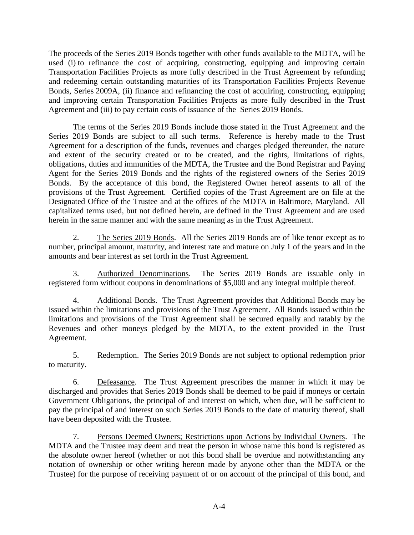The proceeds of the Series 2019 Bonds together with other funds available to the MDTA, will be used (i) to refinance the cost of acquiring, constructing, equipping and improving certain Transportation Facilities Projects as more fully described in the Trust Agreement by refunding and redeeming certain outstanding maturities of its Transportation Facilities Projects Revenue Bonds, Series 2009A, (ii) finance and refinancing the cost of acquiring, constructing, equipping and improving certain Transportation Facilities Projects as more fully described in the Trust Agreement and (iii) to pay certain costs of issuance of the Series 2019 Bonds.

The terms of the Series 2019 Bonds include those stated in the Trust Agreement and the Series 2019 Bonds are subject to all such terms. Reference is hereby made to the Trust Agreement for a description of the funds, revenues and charges pledged thereunder, the nature and extent of the security created or to be created, and the rights, limitations of rights, obligations, duties and immunities of the MDTA, the Trustee and the Bond Registrar and Paying Agent for the Series 2019 Bonds and the rights of the registered owners of the Series 2019 Bonds. By the acceptance of this bond, the Registered Owner hereof assents to all of the provisions of the Trust Agreement. Certified copies of the Trust Agreement are on file at the Designated Office of the Trustee and at the offices of the MDTA in Baltimore, Maryland. All capitalized terms used, but not defined herein, are defined in the Trust Agreement and are used herein in the same manner and with the same meaning as in the Trust Agreement.

2. The Series 2019 Bonds. All the Series 2019 Bonds are of like tenor except as to number, principal amount, maturity, and interest rate and mature on July 1 of the years and in the amounts and bear interest as set forth in the Trust Agreement.

3. Authorized Denominations. The Series 2019 Bonds are issuable only in registered form without coupons in denominations of \$5,000 and any integral multiple thereof.

4. Additional Bonds. The Trust Agreement provides that Additional Bonds may be issued within the limitations and provisions of the Trust Agreement. All Bonds issued within the limitations and provisions of the Trust Agreement shall be secured equally and ratably by the Revenues and other moneys pledged by the MDTA, to the extent provided in the Trust Agreement.

5. Redemption. The Series 2019 Bonds are not subject to optional redemption prior to maturity.

6. Defeasance. The Trust Agreement prescribes the manner in which it may be discharged and provides that Series 2019 Bonds shall be deemed to be paid if moneys or certain Government Obligations, the principal of and interest on which, when due, will be sufficient to pay the principal of and interest on such Series 2019 Bonds to the date of maturity thereof, shall have been deposited with the Trustee.

7. Persons Deemed Owners; Restrictions upon Actions by Individual Owners. The MDTA and the Trustee may deem and treat the person in whose name this bond is registered as the absolute owner hereof (whether or not this bond shall be overdue and notwithstanding any notation of ownership or other writing hereon made by anyone other than the MDTA or the Trustee) for the purpose of receiving payment of or on account of the principal of this bond, and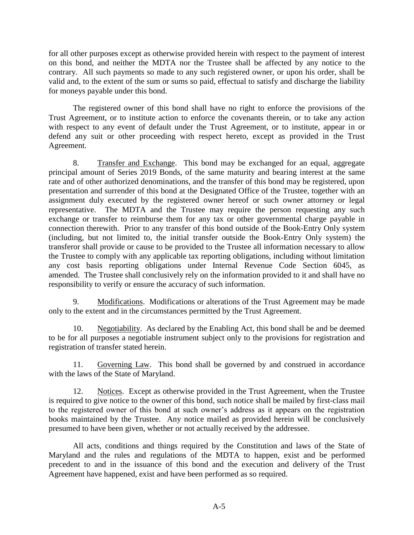for all other purposes except as otherwise provided herein with respect to the payment of interest on this bond, and neither the MDTA nor the Trustee shall be affected by any notice to the contrary. All such payments so made to any such registered owner, or upon his order, shall be valid and, to the extent of the sum or sums so paid, effectual to satisfy and discharge the liability for moneys payable under this bond.

The registered owner of this bond shall have no right to enforce the provisions of the Trust Agreement, or to institute action to enforce the covenants therein, or to take any action with respect to any event of default under the Trust Agreement, or to institute, appear in or defend any suit or other proceeding with respect hereto, except as provided in the Trust Agreement.

8. Transfer and Exchange. This bond may be exchanged for an equal, aggregate principal amount of Series 2019 Bonds, of the same maturity and bearing interest at the same rate and of other authorized denominations, and the transfer of this bond may be registered, upon presentation and surrender of this bond at the Designated Office of the Trustee, together with an assignment duly executed by the registered owner hereof or such owner attorney or legal representative. The MDTA and the Trustee may require the person requesting any such exchange or transfer to reimburse them for any tax or other governmental charge payable in connection therewith. Prior to any transfer of this bond outside of the Book-Entry Only system (including, but not limited to, the initial transfer outside the Book-Entry Only system) the transferor shall provide or cause to be provided to the Trustee all information necessary to allow the Trustee to comply with any applicable tax reporting obligations, including without limitation any cost basis reporting obligations under Internal Revenue Code Section 6045, as amended. The Trustee shall conclusively rely on the information provided to it and shall have no responsibility to verify or ensure the accuracy of such information.

9. Modifications. Modifications or alterations of the Trust Agreement may be made only to the extent and in the circumstances permitted by the Trust Agreement.

10. Negotiability. As declared by the Enabling Act, this bond shall be and be deemed to be for all purposes a negotiable instrument subject only to the provisions for registration and registration of transfer stated herein.

11. Governing Law. This bond shall be governed by and construed in accordance with the laws of the State of Maryland.

12. Notices. Except as otherwise provided in the Trust Agreement, when the Trustee is required to give notice to the owner of this bond, such notice shall be mailed by first-class mail to the registered owner of this bond at such owner's address as it appears on the registration books maintained by the Trustee. Any notice mailed as provided herein will be conclusively presumed to have been given, whether or not actually received by the addressee.

All acts, conditions and things required by the Constitution and laws of the State of Maryland and the rules and regulations of the MDTA to happen, exist and be performed precedent to and in the issuance of this bond and the execution and delivery of the Trust Agreement have happened, exist and have been performed as so required.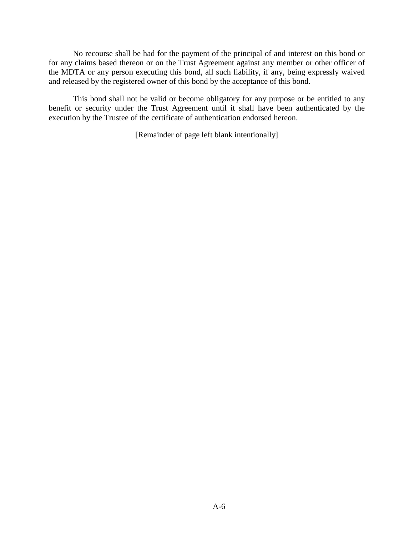No recourse shall be had for the payment of the principal of and interest on this bond or for any claims based thereon or on the Trust Agreement against any member or other officer of the MDTA or any person executing this bond, all such liability, if any, being expressly waived and released by the registered owner of this bond by the acceptance of this bond.

This bond shall not be valid or become obligatory for any purpose or be entitled to any benefit or security under the Trust Agreement until it shall have been authenticated by the execution by the Trustee of the certificate of authentication endorsed hereon.

[Remainder of page left blank intentionally]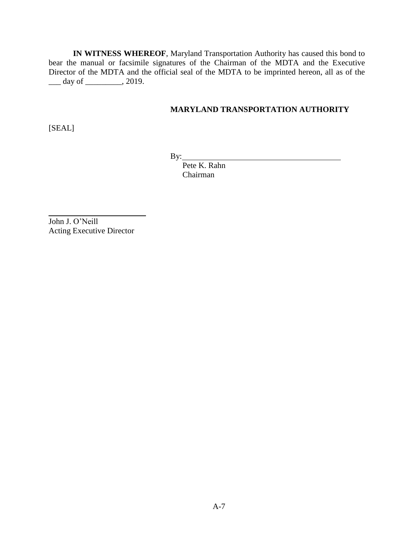**IN WITNESS WHEREOF**, Maryland Transportation Authority has caused this bond to bear the manual or facsimile signatures of the Chairman of the MDTA and the Executive Director of the MDTA and the official seal of the MDTA to be imprinted hereon, all as of the \_\_\_ day of \_\_\_\_\_\_\_\_\_, 2019.

# **MARYLAND TRANSPORTATION AUTHORITY**

[SEAL]

By:

 Pete K. Rahn Chairman

John J. O'Neill Acting Executive Director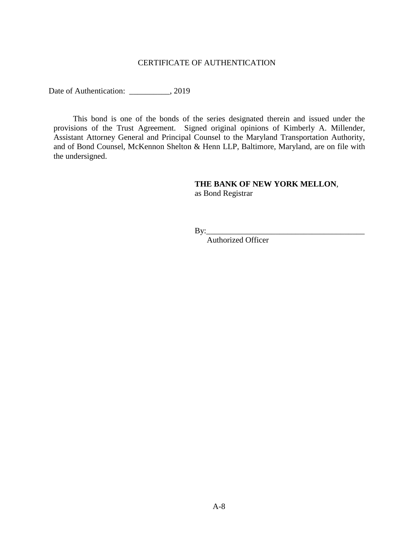# CERTIFICATE OF AUTHENTICATION

Date of Authentication: \_\_\_\_\_\_\_\_\_, 2019

This bond is one of the bonds of the series designated therein and issued under the provisions of the Trust Agreement. Signed original opinions of Kimberly A. Millender, Assistant Attorney General and Principal Counsel to the Maryland Transportation Authority, and of Bond Counsel, McKennon Shelton & Henn LLP, Baltimore, Maryland, are on file with the undersigned.

# **THE BANK OF NEW YORK MELLON**, as Bond Registrar

By:\_\_\_\_\_\_\_\_\_\_\_\_\_\_\_\_\_\_\_\_\_\_\_\_\_\_\_\_\_\_\_\_\_\_\_\_\_\_\_

Authorized Officer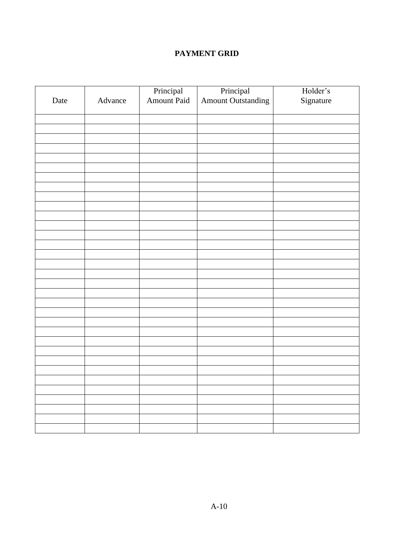# **PAYMENT GRID**

|      |         | Principal<br>Amount Paid |                                 | Holder's  |
|------|---------|--------------------------|---------------------------------|-----------|
| Date | Advance |                          | Principal<br>Amount Outstanding | Signature |
|      |         |                          |                                 |           |
|      |         |                          |                                 |           |
|      |         |                          |                                 |           |
|      |         |                          |                                 |           |
|      |         |                          |                                 |           |
|      |         |                          |                                 |           |
|      |         |                          |                                 |           |
|      |         |                          |                                 |           |
|      |         |                          |                                 |           |
|      |         |                          |                                 |           |
|      |         |                          |                                 |           |
|      |         |                          |                                 |           |
|      |         |                          |                                 |           |
|      |         |                          |                                 |           |
|      |         |                          |                                 |           |
|      |         |                          |                                 |           |
|      |         |                          |                                 |           |
|      |         |                          |                                 |           |
|      |         |                          |                                 |           |
|      |         |                          |                                 |           |
|      |         |                          |                                 |           |
|      |         |                          |                                 |           |
|      |         |                          |                                 |           |
|      |         |                          |                                 |           |
|      |         |                          |                                 |           |
|      |         |                          |                                 |           |
|      |         |                          |                                 |           |
|      |         |                          |                                 |           |
|      |         |                          |                                 |           |
|      |         |                          |                                 |           |
|      |         |                          |                                 |           |
|      |         |                          |                                 |           |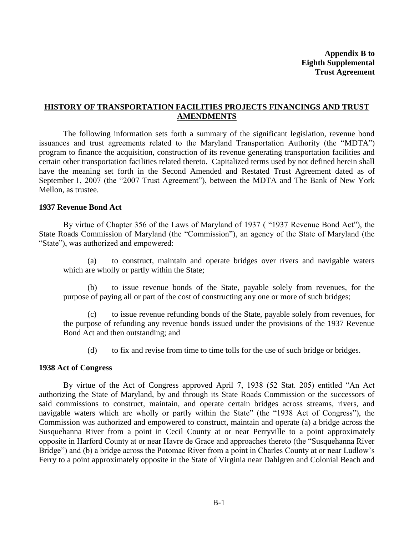**Appendix B to Eighth Supplemental Trust Agreement**

# **HISTORY OF TRANSPORTATION FACILITIES PROJECTS FINANCINGS AND TRUST AMENDMENTS**

The following information sets forth a summary of the significant legislation, revenue bond issuances and trust agreements related to the Maryland Transportation Authority (the "MDTA") program to finance the acquisition, construction of its revenue generating transportation facilities and certain other transportation facilities related thereto. Capitalized terms used by not defined herein shall have the meaning set forth in the Second Amended and Restated Trust Agreement dated as of September 1, 2007 (the "2007 Trust Agreement"), between the MDTA and The Bank of New York Mellon, as trustee.

#### **1937 Revenue Bond Act**

By virtue of Chapter 356 of the Laws of Maryland of 1937 ( "1937 Revenue Bond Act"), the State Roads Commission of Maryland (the "Commission"), an agency of the State of Maryland (the "State"), was authorized and empowered:

(a) to construct, maintain and operate bridges over rivers and navigable waters which are wholly or partly within the State;

(b) to issue revenue bonds of the State, payable solely from revenues, for the purpose of paying all or part of the cost of constructing any one or more of such bridges;

(c) to issue revenue refunding bonds of the State, payable solely from revenues, for the purpose of refunding any revenue bonds issued under the provisions of the 1937 Revenue Bond Act and then outstanding; and

(d) to fix and revise from time to time tolls for the use of such bridge or bridges.

# **1938 Act of Congress**

By virtue of the Act of Congress approved April 7, 1938 (52 Stat. 205) entitled "An Act authorizing the State of Maryland, by and through its State Roads Commission or the successors of said commissions to construct, maintain, and operate certain bridges across streams, rivers, and navigable waters which are wholly or partly within the State" (the "1938 Act of Congress"), the Commission was authorized and empowered to construct, maintain and operate (a) a bridge across the Susquehanna River from a point in Cecil County at or near Perryville to a point approximately opposite in Harford County at or near Havre de Grace and approaches thereto (the "Susquehanna River Bridge") and (b) a bridge across the Potomac River from a point in Charles County at or near Ludlow's Ferry to a point approximately opposite in the State of Virginia near Dahlgren and Colonial Beach and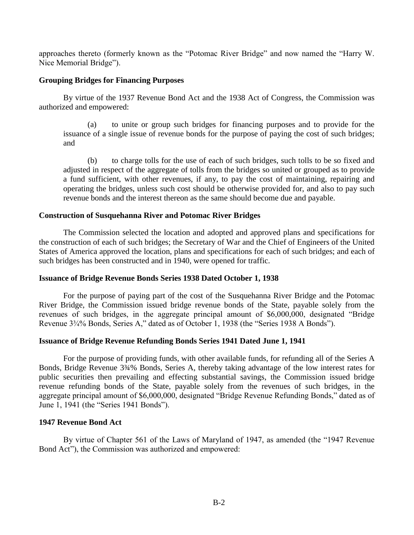approaches thereto (formerly known as the "Potomac River Bridge" and now named the "Harry W. Nice Memorial Bridge").

# **Grouping Bridges for Financing Purposes**

By virtue of the 1937 Revenue Bond Act and the 1938 Act of Congress, the Commission was authorized and empowered:

(a) to unite or group such bridges for financing purposes and to provide for the issuance of a single issue of revenue bonds for the purpose of paying the cost of such bridges; and

(b) to charge tolls for the use of each of such bridges, such tolls to be so fixed and adjusted in respect of the aggregate of tolls from the bridges so united or grouped as to provide a fund sufficient, with other revenues, if any, to pay the cost of maintaining, repairing and operating the bridges, unless such cost should be otherwise provided for, and also to pay such revenue bonds and the interest thereon as the same should become due and payable.

# **Construction of Susquehanna River and Potomac River Bridges**

The Commission selected the location and adopted and approved plans and specifications for the construction of each of such bridges; the Secretary of War and the Chief of Engineers of the United States of America approved the location, plans and specifications for each of such bridges; and each of such bridges has been constructed and in 1940, were opened for traffic.

# **Issuance of Bridge Revenue Bonds Series 1938 Dated October 1, 1938**

For the purpose of paying part of the cost of the Susquehanna River Bridge and the Potomac River Bridge, the Commission issued bridge revenue bonds of the State, payable solely from the revenues of such bridges, in the aggregate principal amount of \$6,000,000, designated "Bridge Revenue 3¾% Bonds, Series A," dated as of October 1, 1938 (the "Series 1938 A Bonds").

# **Issuance of Bridge Revenue Refunding Bonds Series 1941 Dated June 1, 1941**

For the purpose of providing funds, with other available funds, for refunding all of the Series A Bonds, Bridge Revenue 3¾% Bonds, Series A, thereby taking advantage of the low interest rates for public securities then prevailing and effecting substantial savings, the Commission issued bridge revenue refunding bonds of the State, payable solely from the revenues of such bridges, in the aggregate principal amount of \$6,000,000, designated "Bridge Revenue Refunding Bonds," dated as of June 1, 1941 (the "Series 1941 Bonds").

# **1947 Revenue Bond Act**

By virtue of Chapter 561 of the Laws of Maryland of 1947, as amended (the "1947 Revenue Bond Act"), the Commission was authorized and empowered: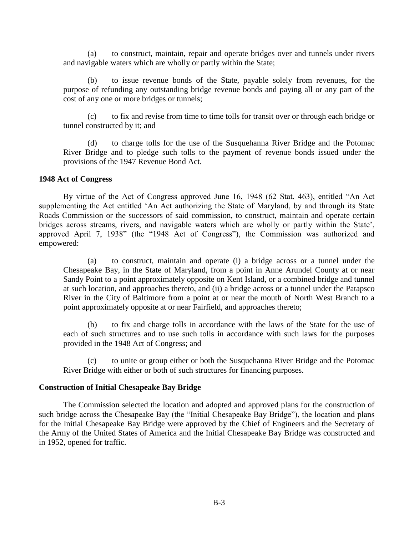(a) to construct, maintain, repair and operate bridges over and tunnels under rivers and navigable waters which are wholly or partly within the State;

(b) to issue revenue bonds of the State, payable solely from revenues, for the purpose of refunding any outstanding bridge revenue bonds and paying all or any part of the cost of any one or more bridges or tunnels;

(c) to fix and revise from time to time tolls for transit over or through each bridge or tunnel constructed by it; and

(d) to charge tolls for the use of the Susquehanna River Bridge and the Potomac River Bridge and to pledge such tolls to the payment of revenue bonds issued under the provisions of the 1947 Revenue Bond Act.

#### **1948 Act of Congress**

By virtue of the Act of Congress approved June 16, 1948 (62 Stat. 463), entitled "An Act supplementing the Act entitled 'An Act authorizing the State of Maryland, by and through its State Roads Commission or the successors of said commission, to construct, maintain and operate certain bridges across streams, rivers, and navigable waters which are wholly or partly within the State', approved April 7, 1938" (the "1948 Act of Congress"), the Commission was authorized and empowered:

(a) to construct, maintain and operate (i) a bridge across or a tunnel under the Chesapeake Bay, in the State of Maryland, from a point in Anne Arundel County at or near Sandy Point to a point approximately opposite on Kent Island, or a combined bridge and tunnel at such location, and approaches thereto, and (ii) a bridge across or a tunnel under the Patapsco River in the City of Baltimore from a point at or near the mouth of North West Branch to a point approximately opposite at or near Fairfield, and approaches thereto;

(b) to fix and charge tolls in accordance with the laws of the State for the use of each of such structures and to use such tolls in accordance with such laws for the purposes provided in the 1948 Act of Congress; and

(c) to unite or group either or both the Susquehanna River Bridge and the Potomac River Bridge with either or both of such structures for financing purposes.

#### **Construction of Initial Chesapeake Bay Bridge**

The Commission selected the location and adopted and approved plans for the construction of such bridge across the Chesapeake Bay (the "Initial Chesapeake Bay Bridge"), the location and plans for the Initial Chesapeake Bay Bridge were approved by the Chief of Engineers and the Secretary of the Army of the United States of America and the Initial Chesapeake Bay Bridge was constructed and in 1952, opened for traffic.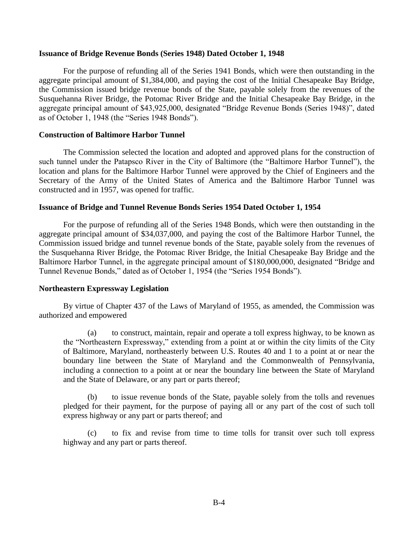# **Issuance of Bridge Revenue Bonds (Series 1948) Dated October 1, 1948**

For the purpose of refunding all of the Series 1941 Bonds, which were then outstanding in the aggregate principal amount of \$1,384,000, and paying the cost of the Initial Chesapeake Bay Bridge, the Commission issued bridge revenue bonds of the State, payable solely from the revenues of the Susquehanna River Bridge, the Potomac River Bridge and the Initial Chesapeake Bay Bridge, in the aggregate principal amount of \$43,925,000, designated "Bridge Revenue Bonds (Series 1948)", dated as of October 1, 1948 (the "Series 1948 Bonds").

# **Construction of Baltimore Harbor Tunnel**

The Commission selected the location and adopted and approved plans for the construction of such tunnel under the Patapsco River in the City of Baltimore (the "Baltimore Harbor Tunnel"), the location and plans for the Baltimore Harbor Tunnel were approved by the Chief of Engineers and the Secretary of the Army of the United States of America and the Baltimore Harbor Tunnel was constructed and in 1957, was opened for traffic.

# **Issuance of Bridge and Tunnel Revenue Bonds Series 1954 Dated October 1, 1954**

For the purpose of refunding all of the Series 1948 Bonds, which were then outstanding in the aggregate principal amount of \$34,037,000, and paying the cost of the Baltimore Harbor Tunnel, the Commission issued bridge and tunnel revenue bonds of the State, payable solely from the revenues of the Susquehanna River Bridge, the Potomac River Bridge, the Initial Chesapeake Bay Bridge and the Baltimore Harbor Tunnel, in the aggregate principal amount of \$180,000,000, designated "Bridge and Tunnel Revenue Bonds," dated as of October 1, 1954 (the "Series 1954 Bonds").

# **Northeastern Expressway Legislation**

By virtue of Chapter 437 of the Laws of Maryland of 1955, as amended, the Commission was authorized and empowered

(a) to construct, maintain, repair and operate a toll express highway, to be known as the "Northeastern Expressway," extending from a point at or within the city limits of the City of Baltimore, Maryland, northeasterly between U.S. Routes 40 and 1 to a point at or near the boundary line between the State of Maryland and the Commonwealth of Pennsylvania, including a connection to a point at or near the boundary line between the State of Maryland and the State of Delaware, or any part or parts thereof;

(b) to issue revenue bonds of the State, payable solely from the tolls and revenues pledged for their payment, for the purpose of paying all or any part of the cost of such toll express highway or any part or parts thereof; and

(c) to fix and revise from time to time tolls for transit over such toll express highway and any part or parts thereof.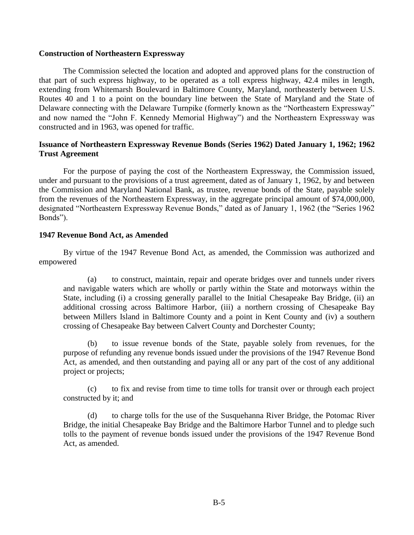### **Construction of Northeastern Expressway**

The Commission selected the location and adopted and approved plans for the construction of that part of such express highway, to be operated as a toll express highway, 42.4 miles in length, extending from Whitemarsh Boulevard in Baltimore County, Maryland, northeasterly between U.S. Routes 40 and 1 to a point on the boundary line between the State of Maryland and the State of Delaware connecting with the Delaware Turnpike (formerly known as the "Northeastern Expressway" and now named the "John F. Kennedy Memorial Highway") and the Northeastern Expressway was constructed and in 1963, was opened for traffic.

# **Issuance of Northeastern Expressway Revenue Bonds (Series 1962) Dated January 1, 1962; 1962 Trust Agreement**

For the purpose of paying the cost of the Northeastern Expressway, the Commission issued, under and pursuant to the provisions of a trust agreement, dated as of January 1, 1962, by and between the Commission and Maryland National Bank, as trustee, revenue bonds of the State, payable solely from the revenues of the Northeastern Expressway, in the aggregate principal amount of \$74,000,000, designated "Northeastern Expressway Revenue Bonds," dated as of January 1, 1962 (the "Series 1962 Bonds").

# **1947 Revenue Bond Act, as Amended**

By virtue of the 1947 Revenue Bond Act, as amended, the Commission was authorized and empowered

(a) to construct, maintain, repair and operate bridges over and tunnels under rivers and navigable waters which are wholly or partly within the State and motorways within the State, including (i) a crossing generally parallel to the Initial Chesapeake Bay Bridge, (ii) an additional crossing across Baltimore Harbor, (iii) a northern crossing of Chesapeake Bay between Millers Island in Baltimore County and a point in Kent County and (iv) a southern crossing of Chesapeake Bay between Calvert County and Dorchester County;

(b) to issue revenue bonds of the State, payable solely from revenues, for the purpose of refunding any revenue bonds issued under the provisions of the 1947 Revenue Bond Act, as amended, and then outstanding and paying all or any part of the cost of any additional project or projects;

(c) to fix and revise from time to time tolls for transit over or through each project constructed by it; and

(d) to charge tolls for the use of the Susquehanna River Bridge, the Potomac River Bridge, the initial Chesapeake Bay Bridge and the Baltimore Harbor Tunnel and to pledge such tolls to the payment of revenue bonds issued under the provisions of the 1947 Revenue Bond Act, as amended.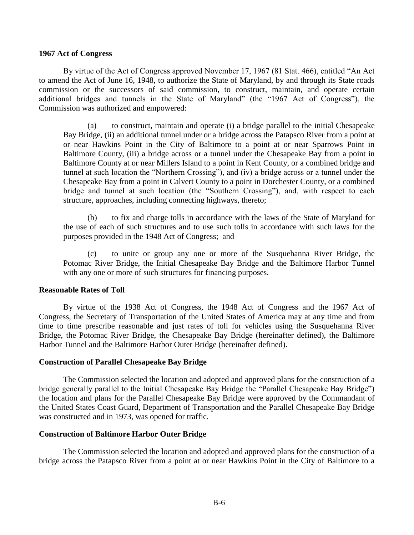#### **1967 Act of Congress**

By virtue of the Act of Congress approved November 17, 1967 (81 Stat. 466), entitled "An Act to amend the Act of June 16, 1948, to authorize the State of Maryland, by and through its State roads commission or the successors of said commission, to construct, maintain, and operate certain additional bridges and tunnels in the State of Maryland" (the "1967 Act of Congress"), the Commission was authorized and empowered:

(a) to construct, maintain and operate (i) a bridge parallel to the initial Chesapeake Bay Bridge, (ii) an additional tunnel under or a bridge across the Patapsco River from a point at or near Hawkins Point in the City of Baltimore to a point at or near Sparrows Point in Baltimore County, (iii) a bridge across or a tunnel under the Chesapeake Bay from a point in Baltimore County at or near Millers Island to a point in Kent County, or a combined bridge and tunnel at such location the "Northern Crossing"), and (iv) a bridge across or a tunnel under the Chesapeake Bay from a point in Calvert County to a point in Dorchester County, or a combined bridge and tunnel at such location (the "Southern Crossing"), and, with respect to each structure, approaches, including connecting highways, thereto;

(b) to fix and charge tolls in accordance with the laws of the State of Maryland for the use of each of such structures and to use such tolls in accordance with such laws for the purposes provided in the 1948 Act of Congress; and

(c) to unite or group any one or more of the Susquehanna River Bridge, the Potomac River Bridge, the Initial Chesapeake Bay Bridge and the Baltimore Harbor Tunnel with any one or more of such structures for financing purposes.

# **Reasonable Rates of Toll**

By virtue of the 1938 Act of Congress, the 1948 Act of Congress and the 1967 Act of Congress, the Secretary of Transportation of the United States of America may at any time and from time to time prescribe reasonable and just rates of toll for vehicles using the Susquehanna River Bridge, the Potomac River Bridge, the Chesapeake Bay Bridge (hereinafter defined), the Baltimore Harbor Tunnel and the Baltimore Harbor Outer Bridge (hereinafter defined).

#### **Construction of Parallel Chesapeake Bay Bridge**

The Commission selected the location and adopted and approved plans for the construction of a bridge generally parallel to the Initial Chesapeake Bay Bridge the "Parallel Chesapeake Bay Bridge") the location and plans for the Parallel Chesapeake Bay Bridge were approved by the Commandant of the United States Coast Guard, Department of Transportation and the Parallel Chesapeake Bay Bridge was constructed and in 1973, was opened for traffic.

### **Construction of Baltimore Harbor Outer Bridge**

The Commission selected the location and adopted and approved plans for the construction of a bridge across the Patapsco River from a point at or near Hawkins Point in the City of Baltimore to a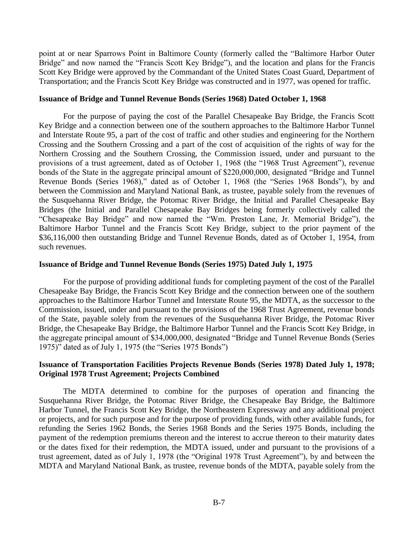point at or near Sparrows Point in Baltimore County (formerly called the "Baltimore Harbor Outer Bridge" and now named the "Francis Scott Key Bridge"), and the location and plans for the Francis Scott Key Bridge were approved by the Commandant of the United States Coast Guard, Department of Transportation; and the Francis Scott Key Bridge was constructed and in 1977, was opened for traffic.

#### **Issuance of Bridge and Tunnel Revenue Bonds (Series 1968) Dated October 1, 1968**

For the purpose of paying the cost of the Parallel Chesapeake Bay Bridge, the Francis Scott Key Bridge and a connection between one of the southern approaches to the Baltimore Harbor Tunnel and Interstate Route 95, a part of the cost of traffic and other studies and engineering for the Northern Crossing and the Southern Crossing and a part of the cost of acquisition of the rights of way for the Northern Crossing and the Southern Crossing, the Commission issued, under and pursuant to the provisions of a trust agreement, dated as of October 1, 1968 (the "1968 Trust Agreement"), revenue bonds of the State in the aggregate principal amount of \$220,000,000, designated "Bridge and Tunnel Revenue Bonds (Series 1968)," dated as of October 1, 1968 (the "Series 1968 Bonds"), by and between the Commission and Maryland National Bank, as trustee, payable solely from the revenues of the Susquehanna River Bridge, the Potomac River Bridge, the Initial and Parallel Chesapeake Bay Bridges (the Initial and Parallel Chesapeake Bay Bridges being formerly collectively called the "Chesapeake Bay Bridge" and now named the "Wm. Preston Lane, Jr. Memorial Bridge"), the Baltimore Harbor Tunnel and the Francis Scott Key Bridge, subject to the prior payment of the \$36,116,000 then outstanding Bridge and Tunnel Revenue Bonds, dated as of October 1, 1954, from such revenues.

# **Issuance of Bridge and Tunnel Revenue Bonds (Series 1975) Dated July 1, 1975**

For the purpose of providing additional funds for completing payment of the cost of the Parallel Chesapeake Bay Bridge, the Francis Scott Key Bridge and the connection between one of the southern approaches to the Baltimore Harbor Tunnel and Interstate Route 95, the MDTA, as the successor to the Commission, issued, under and pursuant to the provisions of the 1968 Trust Agreement, revenue bonds of the State, payable solely from the revenues of the Susquehanna River Bridge, the Potomac River Bridge, the Chesapeake Bay Bridge, the Baltimore Harbor Tunnel and the Francis Scott Key Bridge, in the aggregate principal amount of \$34,000,000, designated "Bridge and Tunnel Revenue Bonds (Series 1975)" dated as of July 1, 1975 (the "Series 1975 Bonds")

# **Issuance of Transportation Facilities Projects Revenue Bonds (Series 1978) Dated July 1, 1978; Original 1978 Trust Agreement; Projects Combined**

The MDTA determined to combine for the purposes of operation and financing the Susquehanna River Bridge, the Potomac River Bridge, the Chesapeake Bay Bridge, the Baltimore Harbor Tunnel, the Francis Scott Key Bridge, the Northeastern Expressway and any additional project or projects, and for such purpose and for the purpose of providing funds, with other available funds, for refunding the Series 1962 Bonds, the Series 1968 Bonds and the Series 1975 Bonds, including the payment of the redemption premiums thereon and the interest to accrue thereon to their maturity dates or the dates fixed for their redemption, the MDTA issued, under and pursuant to the provisions of a trust agreement, dated as of July 1, 1978 (the "Original 1978 Trust Agreement"), by and between the MDTA and Maryland National Bank, as trustee, revenue bonds of the MDTA, payable solely from the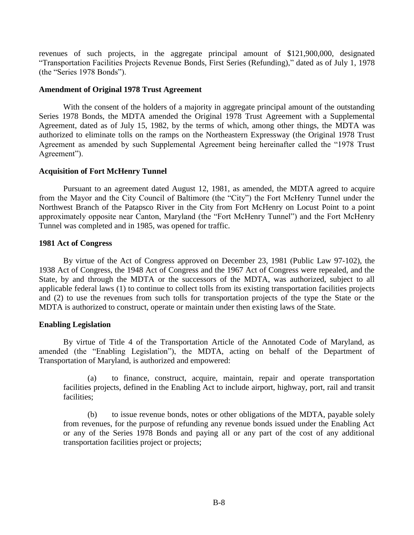revenues of such projects, in the aggregate principal amount of \$121,900,000, designated "Transportation Facilities Projects Revenue Bonds, First Series (Refunding)," dated as of July 1, 1978 (the "Series 1978 Bonds").

### **Amendment of Original 1978 Trust Agreement**

With the consent of the holders of a majority in aggregate principal amount of the outstanding Series 1978 Bonds, the MDTA amended the Original 1978 Trust Agreement with a Supplemental Agreement, dated as of July 15, 1982, by the terms of which, among other things, the MDTA was authorized to eliminate tolls on the ramps on the Northeastern Expressway (the Original 1978 Trust Agreement as amended by such Supplemental Agreement being hereinafter called the "1978 Trust Agreement").

# **Acquisition of Fort McHenry Tunnel**

Pursuant to an agreement dated August 12, 1981, as amended, the MDTA agreed to acquire from the Mayor and the City Council of Baltimore (the "City") the Fort McHenry Tunnel under the Northwest Branch of the Patapsco River in the City from Fort McHenry on Locust Point to a point approximately opposite near Canton, Maryland (the "Fort McHenry Tunnel") and the Fort McHenry Tunnel was completed and in 1985, was opened for traffic.

# **1981 Act of Congress**

By virtue of the Act of Congress approved on December 23, 1981 (Public Law 97-102), the 1938 Act of Congress, the 1948 Act of Congress and the 1967 Act of Congress were repealed, and the State, by and through the MDTA or the successors of the MDTA, was authorized, subject to all applicable federal laws (1) to continue to collect tolls from its existing transportation facilities projects and (2) to use the revenues from such tolls for transportation projects of the type the State or the MDTA is authorized to construct, operate or maintain under then existing laws of the State.

# **Enabling Legislation**

By virtue of Title 4 of the Transportation Article of the Annotated Code of Maryland, as amended (the "Enabling Legislation"), the MDTA, acting on behalf of the Department of Transportation of Maryland, is authorized and empowered:

(a) to finance, construct, acquire, maintain, repair and operate transportation facilities projects, defined in the Enabling Act to include airport, highway, port, rail and transit facilities;

(b) to issue revenue bonds, notes or other obligations of the MDTA, payable solely from revenues, for the purpose of refunding any revenue bonds issued under the Enabling Act or any of the Series 1978 Bonds and paying all or any part of the cost of any additional transportation facilities project or projects;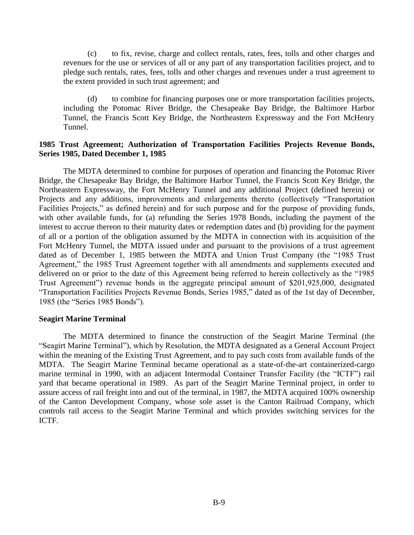(c) to fix, revise, charge and collect rentals, rates, fees, tolls and other charges and revenues for the use or services of all or any part of any transportation facilities project, and to pledge such rentals, rates, fees, tolls and other charges and revenues under a trust agreement to the extent provided in such trust agreement; and

(d) to combine for financing purposes one or more transportation facilities projects, including the Potomac River Bridge, the Chesapeake Bay Bridge, the Baltimore Harbor Tunnel, the Francis Scott Key Bridge, the Northeastern Expressway and the Fort McHenry Tunnel.

# **1985 Trust Agreement; Authorization of Transportation Facilities Projects Revenue Bonds, Series 1985, Dated December 1, 1985**

The MDTA determined to combine for purposes of operation and financing the Potomac River Bridge, the Chesapeake Bay Bridge, the Baltimore Harbor Tunnel, the Francis Scott Key Bridge, the Northeastern Expressway, the Fort McHenry Tunnel and any additional Project (defined herein) or Projects and any additions, improvements and enlargements thereto (collectively "Transportation Facilities Projects," as defined herein) and for such purpose and for the purpose of providing funds, with other available funds, for (a) refunding the Series 1978 Bonds, including the payment of the interest to accrue thereon to their maturity dates or redemption dates and (b) providing for the payment of all or a portion of the obligation assumed by the MDTA in connection with its acquisition of the Fort McHenry Tunnel, the MDTA issued under and pursuant to the provisions of a trust agreement dated as of December 1, 1985 between the MDTA and Union Trust Company (the "1985 Trust Agreement," the 1985 Trust Agreement together with all amendments and supplements executed and delivered on or prior to the date of this Agreement being referred to herein collectively as the "1985 Trust Agreement") revenue bonds in the aggregate principal amount of \$201,925,000, designated "Transportation Facilities Projects Revenue Bonds, Series 1985," dated as of the 1st day of December, 1985 (the "Series 1985 Bonds").

#### **Seagirt Marine Terminal**

The MDTA determined to finance the construction of the Seagirt Marine Terminal (the "Seagirt Marine Terminal"), which by Resolution, the MDTA designated as a General Account Project within the meaning of the Existing Trust Agreement, and to pay such costs from available funds of the MDTA. The Seagirt Marine Terminal became operational as a state-of-the-art containerized-cargo marine terminal in 1990, with an adjacent Intermodal Container Transfer Facility (the "ICTF") rail yard that became operational in 1989. As part of the Seagirt Marine Terminal project, in order to assure access of rail freight into and out of the terminal, in 1987, the MDTA acquired 100% ownership of the Canton Development Company, whose sole asset is the Canton Railroad Company, which controls rail access to the Seagirt Marine Terminal and which provides switching services for the ICTF.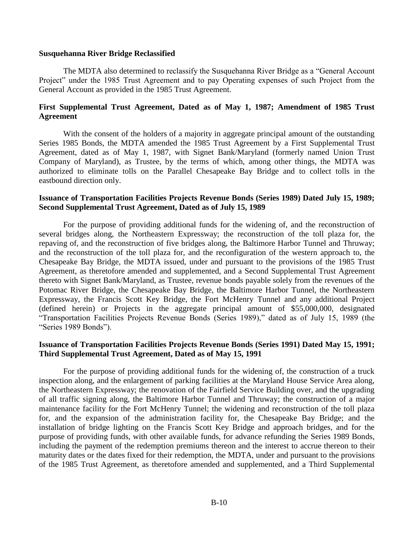#### **Susquehanna River Bridge Reclassified**

The MDTA also determined to reclassify the Susquehanna River Bridge as a "General Account Project" under the 1985 Trust Agreement and to pay Operating expenses of such Project from the General Account as provided in the 1985 Trust Agreement.

# **First Supplemental Trust Agreement, Dated as of May 1, 1987; Amendment of 1985 Trust Agreement**

With the consent of the holders of a majority in aggregate principal amount of the outstanding Series 1985 Bonds, the MDTA amended the 1985 Trust Agreement by a First Supplemental Trust Agreement, dated as of May 1, 1987, with Signet Bank/Maryland (formerly named Union Trust Company of Maryland), as Trustee, by the terms of which, among other things, the MDTA was authorized to eliminate tolls on the Parallel Chesapeake Bay Bridge and to collect tolls in the eastbound direction only.

# **Issuance of Transportation Facilities Projects Revenue Bonds (Series 1989) Dated July 15, 1989; Second Supplemental Trust Agreement, Dated as of July 15, 1989**

For the purpose of providing additional funds for the widening of, and the reconstruction of several bridges along, the Northeastern Expressway; the reconstruction of the toll plaza for, the repaving of, and the reconstruction of five bridges along, the Baltimore Harbor Tunnel and Thruway; and the reconstruction of the toll plaza for, and the reconfiguration of the western approach to, the Chesapeake Bay Bridge, the MDTA issued, under and pursuant to the provisions of the 1985 Trust Agreement, as theretofore amended and supplemented, and a Second Supplemental Trust Agreement thereto with Signet Bank/Maryland, as Trustee, revenue bonds payable solely from the revenues of the Potomac River Bridge, the Chesapeake Bay Bridge, the Baltimore Harbor Tunnel, the Northeastern Expressway, the Francis Scott Key Bridge, the Fort McHenry Tunnel and any additional Project (defined herein) or Projects in the aggregate principal amount of \$55,000,000, designated "Transportation Facilities Projects Revenue Bonds (Series 1989)," dated as of July 15, 1989 (the "Series 1989 Bonds").

# **Issuance of Transportation Facilities Projects Revenue Bonds (Series 1991) Dated May 15, 1991; Third Supplemental Trust Agreement, Dated as of May 15, 1991**

For the purpose of providing additional funds for the widening of, the construction of a truck inspection along, and the enlargement of parking facilities at the Maryland House Service Area along, the Northeastern Expressway; the renovation of the Fairfield Service Building over, and the upgrading of all traffic signing along, the Baltimore Harbor Tunnel and Thruway; the construction of a major maintenance facility for the Fort McHenry Tunnel; the widening and reconstruction of the toll plaza for, and the expansion of the administration facility for, the Chesapeake Bay Bridge; and the installation of bridge lighting on the Francis Scott Key Bridge and approach bridges, and for the purpose of providing funds, with other available funds, for advance refunding the Series 1989 Bonds, including the payment of the redemption premiums thereon and the interest to accrue thereon to their maturity dates or the dates fixed for their redemption, the MDTA, under and pursuant to the provisions of the 1985 Trust Agreement, as theretofore amended and supplemented, and a Third Supplemental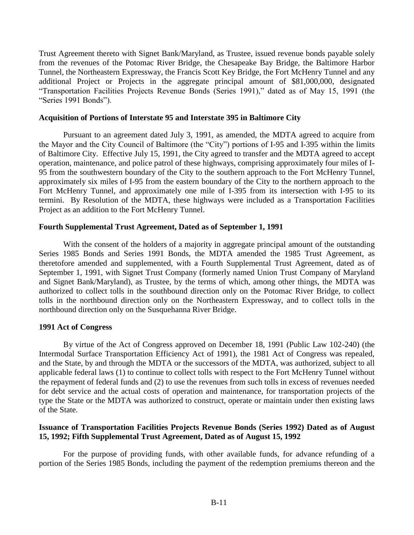Trust Agreement thereto with Signet Bank/Maryland, as Trustee, issued revenue bonds payable solely from the revenues of the Potomac River Bridge, the Chesapeake Bay Bridge, the Baltimore Harbor Tunnel, the Northeastern Expressway, the Francis Scott Key Bridge, the Fort McHenry Tunnel and any additional Project or Projects in the aggregate principal amount of \$81,000,000, designated "Transportation Facilities Projects Revenue Bonds (Series 1991)," dated as of May 15, 1991 (the "Series 1991 Bonds").

### **Acquisition of Portions of Interstate 95 and Interstate 395 in Baltimore City**

Pursuant to an agreement dated July 3, 1991, as amended, the MDTA agreed to acquire from the Mayor and the City Council of Baltimore (the "City") portions of I-95 and I-395 within the limits of Baltimore City. Effective July 15, 1991, the City agreed to transfer and the MDTA agreed to accept operation, maintenance, and police patrol of these highways, comprising approximately four miles of I-95 from the southwestern boundary of the City to the southern approach to the Fort McHenry Tunnel, approximately six miles of I-95 from the eastern boundary of the City to the northern approach to the Fort McHenry Tunnel, and approximately one mile of I-395 from its intersection with I-95 to its termini. By Resolution of the MDTA, these highways were included as a Transportation Facilities Project as an addition to the Fort McHenry Tunnel.

# **Fourth Supplemental Trust Agreement, Dated as of September 1, 1991**

With the consent of the holders of a majority in aggregate principal amount of the outstanding Series 1985 Bonds and Series 1991 Bonds, the MDTA amended the 1985 Trust Agreement, as theretofore amended and supplemented, with a Fourth Supplemental Trust Agreement, dated as of September 1, 1991, with Signet Trust Company (formerly named Union Trust Company of Maryland and Signet Bank/Maryland), as Trustee, by the terms of which, among other things, the MDTA was authorized to collect tolls in the southbound direction only on the Potomac River Bridge, to collect tolls in the northbound direction only on the Northeastern Expressway, and to collect tolls in the northbound direction only on the Susquehanna River Bridge.

#### **1991 Act of Congress**

By virtue of the Act of Congress approved on December 18, 1991 (Public Law 102-240) (the Intermodal Surface Transportation Efficiency Act of 1991), the 1981 Act of Congress was repealed, and the State, by and through the MDTA or the successors of the MDTA, was authorized, subject to all applicable federal laws (1) to continue to collect tolls with respect to the Fort McHenry Tunnel without the repayment of federal funds and (2) to use the revenues from such tolls in excess of revenues needed for debt service and the actual costs of operation and maintenance, for transportation projects of the type the State or the MDTA was authorized to construct, operate or maintain under then existing laws of the State.

# **Issuance of Transportation Facilities Projects Revenue Bonds (Series 1992) Dated as of August 15, 1992; Fifth Supplemental Trust Agreement, Dated as of August 15, 1992**

For the purpose of providing funds, with other available funds, for advance refunding of a portion of the Series 1985 Bonds, including the payment of the redemption premiums thereon and the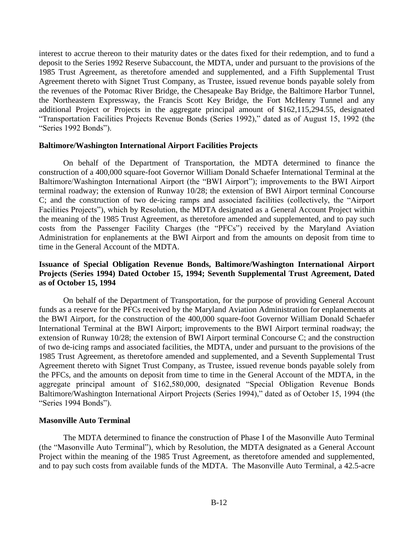interest to accrue thereon to their maturity dates or the dates fixed for their redemption, and to fund a deposit to the Series 1992 Reserve Subaccount, the MDTA, under and pursuant to the provisions of the 1985 Trust Agreement, as theretofore amended and supplemented, and a Fifth Supplemental Trust Agreement thereto with Signet Trust Company, as Trustee, issued revenue bonds payable solely from the revenues of the Potomac River Bridge, the Chesapeake Bay Bridge, the Baltimore Harbor Tunnel, the Northeastern Expressway, the Francis Scott Key Bridge, the Fort McHenry Tunnel and any additional Project or Projects in the aggregate principal amount of \$162,115,294.55, designated "Transportation Facilities Projects Revenue Bonds (Series 1992)," dated as of August 15, 1992 (the "Series 1992 Bonds").

# **Baltimore/Washington International Airport Facilities Projects**

On behalf of the Department of Transportation, the MDTA determined to finance the construction of a 400,000 square-foot Governor William Donald Schaefer International Terminal at the Baltimore/Washington International Airport (the "BWI Airport"); improvements to the BWI Airport terminal roadway; the extension of Runway 10/28; the extension of BWI Airport terminal Concourse C; and the construction of two de-icing ramps and associated facilities (collectively, the "Airport Facilities Projects"), which by Resolution, the MDTA designated as a General Account Project within the meaning of the 1985 Trust Agreement, as theretofore amended and supplemented, and to pay such costs from the Passenger Facility Charges (the "PFCs") received by the Maryland Aviation Administration for enplanements at the BWI Airport and from the amounts on deposit from time to time in the General Account of the MDTA.

# **Issuance of Special Obligation Revenue Bonds, Baltimore/Washington International Airport Projects (Series 1994) Dated October 15, 1994; Seventh Supplemental Trust Agreement, Dated as of October 15, 1994**

On behalf of the Department of Transportation, for the purpose of providing General Account funds as a reserve for the PFCs received by the Maryland Aviation Administration for enplanements at the BWI Airport, for the construction of the 400,000 square-foot Governor William Donald Schaefer International Terminal at the BWI Airport; improvements to the BWI Airport terminal roadway; the extension of Runway 10/28; the extension of BWI Airport terminal Concourse C; and the construction of two de-icing ramps and associated facilities, the MDTA, under and pursuant to the provisions of the 1985 Trust Agreement, as theretofore amended and supplemented, and a Seventh Supplemental Trust Agreement thereto with Signet Trust Company, as Trustee, issued revenue bonds payable solely from the PFCs, and the amounts on deposit from time to time in the General Account of the MDTA, in the aggregate principal amount of \$162,580,000, designated "Special Obligation Revenue Bonds Baltimore/Washington International Airport Projects (Series 1994)," dated as of October 15, 1994 (the "Series 1994 Bonds").

# **Masonville Auto Terminal**

The MDTA determined to finance the construction of Phase I of the Masonville Auto Terminal (the "Masonville Auto Terminal"), which by Resolution, the MDTA designated as a General Account Project within the meaning of the 1985 Trust Agreement, as theretofore amended and supplemented, and to pay such costs from available funds of the MDTA. The Masonville Auto Terminal, a 42.5-acre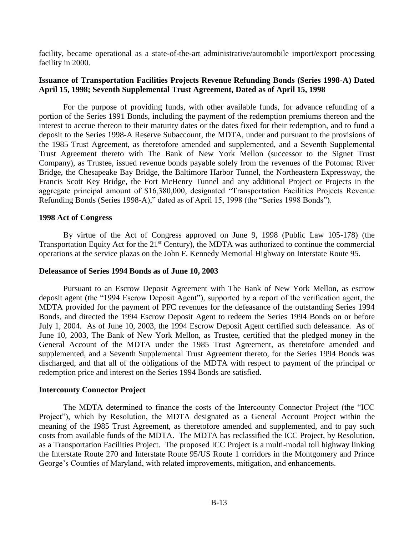facility, became operational as a state-of-the-art administrative/automobile import/export processing facility in 2000.

# **Issuance of Transportation Facilities Projects Revenue Refunding Bonds (Series 1998-A) Dated April 15, 1998; Seventh Supplemental Trust Agreement, Dated as of April 15, 1998**

For the purpose of providing funds, with other available funds, for advance refunding of a portion of the Series 1991 Bonds, including the payment of the redemption premiums thereon and the interest to accrue thereon to their maturity dates or the dates fixed for their redemption, and to fund a deposit to the Series 1998-A Reserve Subaccount, the MDTA, under and pursuant to the provisions of the 1985 Trust Agreement, as theretofore amended and supplemented, and a Seventh Supplemental Trust Agreement thereto with The Bank of New York Mellon (successor to the Signet Trust Company), as Trustee, issued revenue bonds payable solely from the revenues of the Potomac River Bridge, the Chesapeake Bay Bridge, the Baltimore Harbor Tunnel, the Northeastern Expressway, the Francis Scott Key Bridge, the Fort McHenry Tunnel and any additional Project or Projects in the aggregate principal amount of \$16,380,000, designated "Transportation Facilities Projects Revenue Refunding Bonds (Series 1998-A)," dated as of April 15, 1998 (the "Series 1998 Bonds").

#### **1998 Act of Congress**

By virtue of the Act of Congress approved on June 9, 1998 (Public Law 105-178) (the Transportation Equity Act for the 21<sup>st</sup> Century), the MDTA was authorized to continue the commercial operations at the service plazas on the John F. Kennedy Memorial Highway on Interstate Route 95.

#### **Defeasance of Series 1994 Bonds as of June 10, 2003**

Pursuant to an Escrow Deposit Agreement with The Bank of New York Mellon, as escrow deposit agent (the "1994 Escrow Deposit Agent"), supported by a report of the verification agent, the MDTA provided for the payment of PFC revenues for the defeasance of the outstanding Series 1994 Bonds, and directed the 1994 Escrow Deposit Agent to redeem the Series 1994 Bonds on or before July 1, 2004. As of June 10, 2003, the 1994 Escrow Deposit Agent certified such defeasance. As of June 10, 2003, The Bank of New York Mellon, as Trustee, certified that the pledged money in the General Account of the MDTA under the 1985 Trust Agreement, as theretofore amended and supplemented, and a Seventh Supplemental Trust Agreement thereto, for the Series 1994 Bonds was discharged, and that all of the obligations of the MDTA with respect to payment of the principal or redemption price and interest on the Series 1994 Bonds are satisfied.

#### **Intercounty Connector Project**

The MDTA determined to finance the costs of the Intercounty Connector Project (the "ICC Project"), which by Resolution, the MDTA designated as a General Account Project within the meaning of the 1985 Trust Agreement, as theretofore amended and supplemented, and to pay such costs from available funds of the MDTA. The MDTA has reclassified the ICC Project, by Resolution, as a Transportation Facilities Project. The proposed ICC Project is a multi-modal toll highway linking the Interstate Route 270 and Interstate Route 95/US Route 1 corridors in the Montgomery and Prince George's Counties of Maryland, with related improvements, mitigation, and enhancements.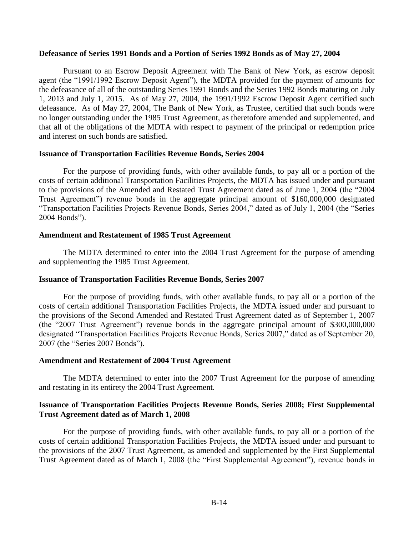# **Defeasance of Series 1991 Bonds and a Portion of Series 1992 Bonds as of May 27, 2004**

Pursuant to an Escrow Deposit Agreement with The Bank of New York, as escrow deposit agent (the "1991/1992 Escrow Deposit Agent"), the MDTA provided for the payment of amounts for the defeasance of all of the outstanding Series 1991 Bonds and the Series 1992 Bonds maturing on July 1, 2013 and July 1, 2015. As of May 27, 2004, the 1991/1992 Escrow Deposit Agent certified such defeasance. As of May 27, 2004, The Bank of New York, as Trustee, certified that such bonds were no longer outstanding under the 1985 Trust Agreement, as theretofore amended and supplemented, and that all of the obligations of the MDTA with respect to payment of the principal or redemption price and interest on such bonds are satisfied.

#### **Issuance of Transportation Facilities Revenue Bonds, Series 2004**

For the purpose of providing funds, with other available funds, to pay all or a portion of the costs of certain additional Transportation Facilities Projects, the MDTA has issued under and pursuant to the provisions of the Amended and Restated Trust Agreement dated as of June 1, 2004 (the "2004 Trust Agreement") revenue bonds in the aggregate principal amount of \$160,000,000 designated "Transportation Facilities Projects Revenue Bonds, Series 2004," dated as of July 1, 2004 (the "Series 2004 Bonds").

#### **Amendment and Restatement of 1985 Trust Agreement**

The MDTA determined to enter into the 2004 Trust Agreement for the purpose of amending and supplementing the 1985 Trust Agreement.

#### **Issuance of Transportation Facilities Revenue Bonds, Series 2007**

For the purpose of providing funds, with other available funds, to pay all or a portion of the costs of certain additional Transportation Facilities Projects, the MDTA issued under and pursuant to the provisions of the Second Amended and Restated Trust Agreement dated as of September 1, 2007 (the "2007 Trust Agreement") revenue bonds in the aggregate principal amount of \$300,000,000 designated "Transportation Facilities Projects Revenue Bonds, Series 2007," dated as of September 20, 2007 (the "Series 2007 Bonds").

#### **Amendment and Restatement of 2004 Trust Agreement**

The MDTA determined to enter into the 2007 Trust Agreement for the purpose of amending and restating in its entirety the 2004 Trust Agreement.

# **Issuance of Transportation Facilities Projects Revenue Bonds, Series 2008; First Supplemental Trust Agreement dated as of March 1, 2008**

For the purpose of providing funds, with other available funds, to pay all or a portion of the costs of certain additional Transportation Facilities Projects, the MDTA issued under and pursuant to the provisions of the 2007 Trust Agreement, as amended and supplemented by the First Supplemental Trust Agreement dated as of March 1, 2008 (the "First Supplemental Agreement"), revenue bonds in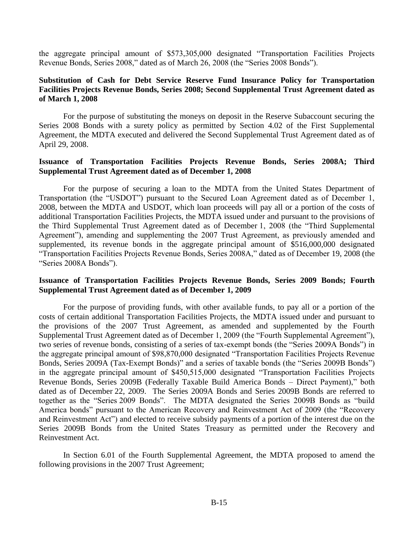the aggregate principal amount of \$573,305,000 designated "Transportation Facilities Projects Revenue Bonds, Series 2008," dated as of March 26, 2008 (the "Series 2008 Bonds").

# **Substitution of Cash for Debt Service Reserve Fund Insurance Policy for Transportation Facilities Projects Revenue Bonds, Series 2008; Second Supplemental Trust Agreement dated as of March 1, 2008**

For the purpose of substituting the moneys on deposit in the Reserve Subaccount securing the Series 2008 Bonds with a surety policy as permitted by Section 4.02 of the First Supplemental Agreement, the MDTA executed and delivered the Second Supplemental Trust Agreement dated as of April 29, 2008.

# **Issuance of Transportation Facilities Projects Revenue Bonds, Series 2008A; Third Supplemental Trust Agreement dated as of December 1, 2008**

For the purpose of securing a loan to the MDTA from the United States Department of Transportation (the "USDOT") pursuant to the Secured Loan Agreement dated as of December 1, 2008, between the MDTA and USDOT, which loan proceeds will pay all or a portion of the costs of additional Transportation Facilities Projects, the MDTA issued under and pursuant to the provisions of the Third Supplemental Trust Agreement dated as of December 1, 2008 (the "Third Supplemental Agreement"), amending and supplementing the 2007 Trust Agreement, as previously amended and supplemented, its revenue bonds in the aggregate principal amount of \$516,000,000 designated "Transportation Facilities Projects Revenue Bonds, Series 2008A," dated as of December 19, 2008 (the "Series 2008A Bonds").

# **Issuance of Transportation Facilities Projects Revenue Bonds, Series 2009 Bonds; Fourth Supplemental Trust Agreement dated as of December 1, 2009**

For the purpose of providing funds, with other available funds, to pay all or a portion of the costs of certain additional Transportation Facilities Projects, the MDTA issued under and pursuant to the provisions of the 2007 Trust Agreement, as amended and supplemented by the Fourth Supplemental Trust Agreement dated as of December 1, 2009 (the "Fourth Supplemental Agreement"), two series of revenue bonds, consisting of a series of tax-exempt bonds (the "Series 2009A Bonds") in the aggregate principal amount of \$98,870,000 designated "Transportation Facilities Projects Revenue Bonds, Series 2009A (Tax-Exempt Bonds)" and a series of taxable bonds (the "Series 2009B Bonds") in the aggregate principal amount of \$450,515,000 designated "Transportation Facilities Projects Revenue Bonds, Series 2009B (Federally Taxable Build America Bonds – Direct Payment)," both dated as of December 22, 2009. The Series 2009A Bonds and Series 2009B Bonds are referred to together as the "Series 2009 Bonds". The MDTA designated the Series 2009B Bonds as "build America bonds" pursuant to the American Recovery and Reinvestment Act of 2009 (the "Recovery and Reinvestment Act") and elected to receive subsidy payments of a portion of the interest due on the Series 2009B Bonds from the United States Treasury as permitted under the Recovery and Reinvestment Act.

In Section 6.01 of the Fourth Supplemental Agreement, the MDTA proposed to amend the following provisions in the 2007 Trust Agreement;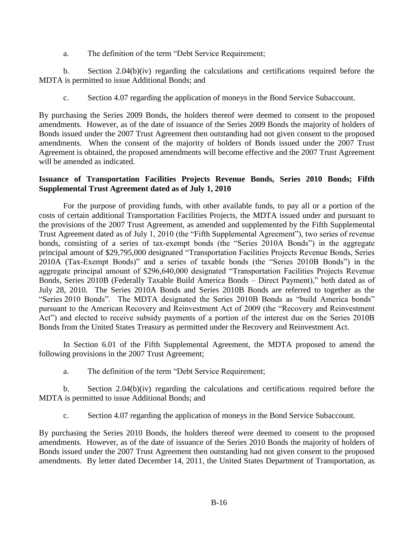a. The definition of the term "Debt Service Requirement;

b. Section 2.04(b)(iv) regarding the calculations and certifications required before the MDTA is permitted to issue Additional Bonds; and

c. Section 4.07 regarding the application of moneys in the Bond Service Subaccount.

By purchasing the Series 2009 Bonds, the holders thereof were deemed to consent to the proposed amendments. However, as of the date of issuance of the Series 2009 Bonds the majority of holders of Bonds issued under the 2007 Trust Agreement then outstanding had not given consent to the proposed amendments. When the consent of the majority of holders of Bonds issued under the 2007 Trust Agreement is obtained, the proposed amendments will become effective and the 2007 Trust Agreement will be amended as indicated.

# **Issuance of Transportation Facilities Projects Revenue Bonds, Series 2010 Bonds; Fifth Supplemental Trust Agreement dated as of July 1, 2010**

For the purpose of providing funds, with other available funds, to pay all or a portion of the costs of certain additional Transportation Facilities Projects, the MDTA issued under and pursuant to the provisions of the 2007 Trust Agreement, as amended and supplemented by the Fifth Supplemental Trust Agreement dated as of July 1, 2010 (the "Fifth Supplemental Agreement"), two series of revenue bonds, consisting of a series of tax-exempt bonds (the "Series 2010A Bonds") in the aggregate principal amount of \$29,795,000 designated "Transportation Facilities Projects Revenue Bonds, Series 2010A (Tax-Exempt Bonds)" and a series of taxable bonds (the "Series 2010B Bonds") in the aggregate principal amount of \$296,640,000 designated "Transportation Facilities Projects Revenue Bonds, Series 2010B (Federally Taxable Build America Bonds – Direct Payment)," both dated as of July 28, 2010. The Series 2010A Bonds and Series 2010B Bonds are referred to together as the "Series 2010 Bonds". The MDTA designated the Series 2010B Bonds as "build America bonds" pursuant to the American Recovery and Reinvestment Act of 2009 (the "Recovery and Reinvestment Act") and elected to receive subsidy payments of a portion of the interest due on the Series 2010B Bonds from the United States Treasury as permitted under the Recovery and Reinvestment Act.

In Section 6.01 of the Fifth Supplemental Agreement, the MDTA proposed to amend the following provisions in the 2007 Trust Agreement;

a. The definition of the term "Debt Service Requirement;

b. Section 2.04(b)(iv) regarding the calculations and certifications required before the MDTA is permitted to issue Additional Bonds; and

c. Section 4.07 regarding the application of moneys in the Bond Service Subaccount.

By purchasing the Series 2010 Bonds, the holders thereof were deemed to consent to the proposed amendments. However, as of the date of issuance of the Series 2010 Bonds the majority of holders of Bonds issued under the 2007 Trust Agreement then outstanding had not given consent to the proposed amendments. By letter dated December 14, 2011, the United States Department of Transportation, as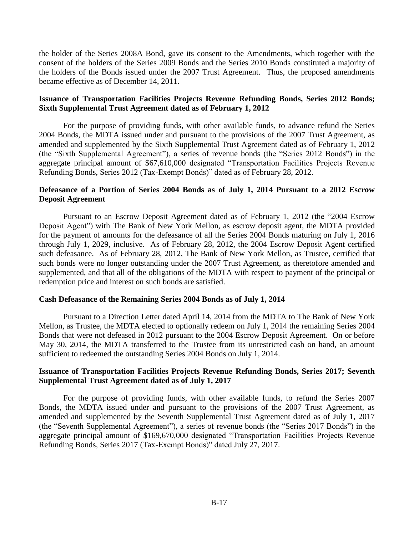the holder of the Series 2008A Bond, gave its consent to the Amendments, which together with the consent of the holders of the Series 2009 Bonds and the Series 2010 Bonds constituted a majority of the holders of the Bonds issued under the 2007 Trust Agreement. Thus, the proposed amendments became effective as of December 14, 2011.

# **Issuance of Transportation Facilities Projects Revenue Refunding Bonds, Series 2012 Bonds; Sixth Supplemental Trust Agreement dated as of February 1, 2012**

For the purpose of providing funds, with other available funds, to advance refund the Series 2004 Bonds, the MDTA issued under and pursuant to the provisions of the 2007 Trust Agreement, as amended and supplemented by the Sixth Supplemental Trust Agreement dated as of February 1, 2012 (the "Sixth Supplemental Agreement"), a series of revenue bonds (the "Series 2012 Bonds") in the aggregate principal amount of \$67,610,000 designated "Transportation Facilities Projects Revenue Refunding Bonds, Series 2012 (Tax-Exempt Bonds)" dated as of February 28, 2012.

# **Defeasance of a Portion of Series 2004 Bonds as of July 1, 2014 Pursuant to a 2012 Escrow Deposit Agreement**

Pursuant to an Escrow Deposit Agreement dated as of February 1, 2012 (the "2004 Escrow Deposit Agent") with The Bank of New York Mellon, as escrow deposit agent, the MDTA provided for the payment of amounts for the defeasance of all the Series 2004 Bonds maturing on July 1, 2016 through July 1, 2029, inclusive. As of February 28, 2012, the 2004 Escrow Deposit Agent certified such defeasance. As of February 28, 2012, The Bank of New York Mellon, as Trustee, certified that such bonds were no longer outstanding under the 2007 Trust Agreement, as theretofore amended and supplemented, and that all of the obligations of the MDTA with respect to payment of the principal or redemption price and interest on such bonds are satisfied.

# **Cash Defeasance of the Remaining Series 2004 Bonds as of July 1, 2014**

Pursuant to a Direction Letter dated April 14, 2014 from the MDTA to The Bank of New York Mellon, as Trustee, the MDTA elected to optionally redeem on July 1, 2014 the remaining Series 2004 Bonds that were not defeased in 2012 pursuant to the 2004 Escrow Deposit Agreement. On or before May 30, 2014, the MDTA transferred to the Trustee from its unrestricted cash on hand, an amount sufficient to redeemed the outstanding Series 2004 Bonds on July 1, 2014.

# **Issuance of Transportation Facilities Projects Revenue Refunding Bonds, Series 2017; Seventh Supplemental Trust Agreement dated as of July 1, 2017**

For the purpose of providing funds, with other available funds, to refund the Series 2007 Bonds, the MDTA issued under and pursuant to the provisions of the 2007 Trust Agreement, as amended and supplemented by the Seventh Supplemental Trust Agreement dated as of July 1, 2017 (the "Seventh Supplemental Agreement"), a series of revenue bonds (the "Series 2017 Bonds") in the aggregate principal amount of \$169,670,000 designated "Transportation Facilities Projects Revenue Refunding Bonds, Series 2017 (Tax-Exempt Bonds)" dated July 27, 2017.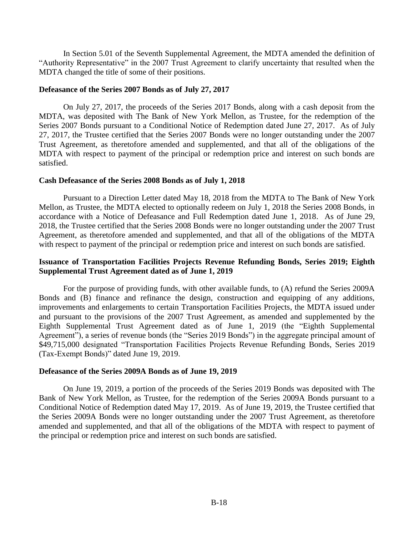In Section 5.01 of the Seventh Supplemental Agreement, the MDTA amended the definition of "Authority Representative" in the 2007 Trust Agreement to clarify uncertainty that resulted when the MDTA changed the title of some of their positions.

#### **Defeasance of the Series 2007 Bonds as of July 27, 2017**

On July 27, 2017, the proceeds of the Series 2017 Bonds, along with a cash deposit from the MDTA, was deposited with The Bank of New York Mellon, as Trustee, for the redemption of the Series 2007 Bonds pursuant to a Conditional Notice of Redemption dated June 27, 2017. As of July 27, 2017, the Trustee certified that the Series 2007 Bonds were no longer outstanding under the 2007 Trust Agreement, as theretofore amended and supplemented, and that all of the obligations of the MDTA with respect to payment of the principal or redemption price and interest on such bonds are satisfied.

#### **Cash Defeasance of the Series 2008 Bonds as of July 1, 2018**

Pursuant to a Direction Letter dated May 18, 2018 from the MDTA to The Bank of New York Mellon, as Trustee, the MDTA elected to optionally redeem on July 1, 2018 the Series 2008 Bonds, in accordance with a Notice of Defeasance and Full Redemption dated June 1, 2018. As of June 29, 2018, the Trustee certified that the Series 2008 Bonds were no longer outstanding under the 2007 Trust Agreement, as theretofore amended and supplemented, and that all of the obligations of the MDTA with respect to payment of the principal or redemption price and interest on such bonds are satisfied.

# **Issuance of Transportation Facilities Projects Revenue Refunding Bonds, Series 2019; Eighth Supplemental Trust Agreement dated as of June 1, 2019**

For the purpose of providing funds, with other available funds, to (A) refund the Series 2009A Bonds and (B) finance and refinance the design, construction and equipping of any additions, improvements and enlargements to certain Transportation Facilities Projects, the MDTA issued under and pursuant to the provisions of the 2007 Trust Agreement, as amended and supplemented by the Eighth Supplemental Trust Agreement dated as of June 1, 2019 (the "Eighth Supplemental Agreement"), a series of revenue bonds (the "Series 2019 Bonds") in the aggregate principal amount of \$49,715,000 designated "Transportation Facilities Projects Revenue Refunding Bonds, Series 2019 (Tax-Exempt Bonds)" dated June 19, 2019.

#### **Defeasance of the Series 2009A Bonds as of June 19, 2019**

On June 19, 2019, a portion of the proceeds of the Series 2019 Bonds was deposited with The Bank of New York Mellon, as Trustee, for the redemption of the Series 2009A Bonds pursuant to a Conditional Notice of Redemption dated May 17, 2019. As of June 19, 2019, the Trustee certified that the Series 2009A Bonds were no longer outstanding under the 2007 Trust Agreement, as theretofore amended and supplemented, and that all of the obligations of the MDTA with respect to payment of the principal or redemption price and interest on such bonds are satisfied.